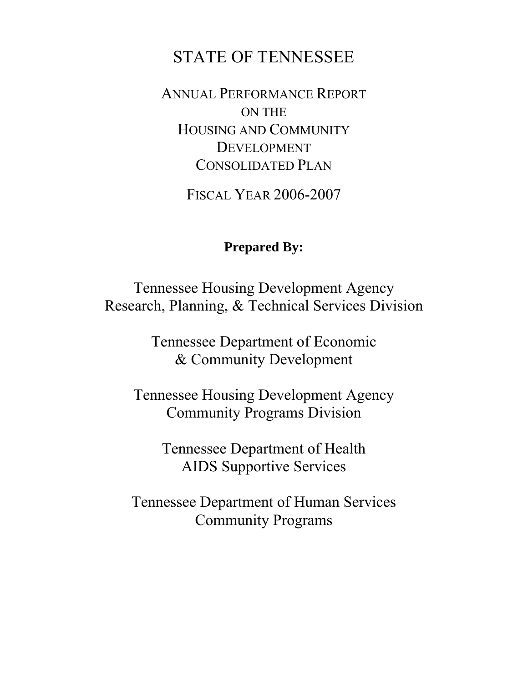# STATE OF TENNESSEE

ANNUAL PERFORMANCE REPORT ON THE HOUSING AND COMMUNITY DEVELOPMENT CONSOLIDATED PLAN

FISCAL YEAR 2006-2007

# **Prepared By:**

Tennessee Housing Development Agency Research, Planning, & Technical Services Division

> Tennessee Department of Economic & Community Development

Tennessee Housing Development Agency Community Programs Division

> Tennessee Department of Health AIDS Supportive Services

Tennessee Department of Human Services Community Programs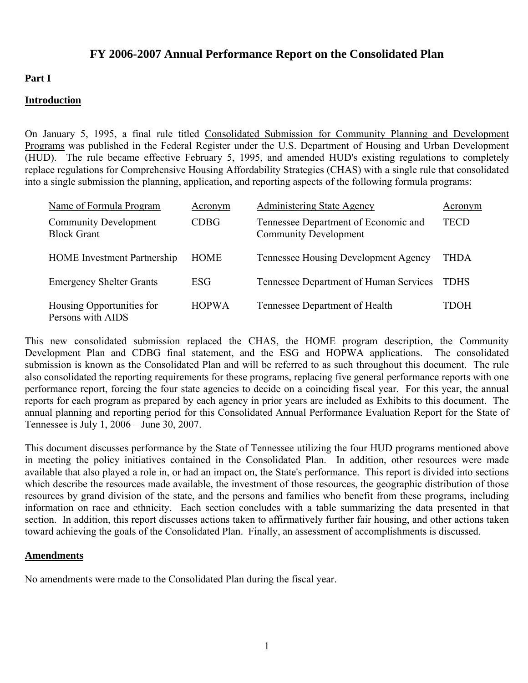# **FY 2006-2007 Annual Performance Report on the Consolidated Plan**

#### **Part I**

#### **Introduction**

On January 5, 1995, a final rule titled Consolidated Submission for Community Planning and Development Programs was published in the Federal Register under the U.S. Department of Housing and Urban Development (HUD). The rule became effective February 5, 1995, and amended HUD's existing regulations to completely replace regulations for Comprehensive Housing Affordability Strategies (CHAS) with a single rule that consolidated into a single submission the planning, application, and reporting aspects of the following formula programs:

| Name of Formula Program                            | <u>Acronym</u> | <b>Administering State Agency</b>                                    | Acronym     |
|----------------------------------------------------|----------------|----------------------------------------------------------------------|-------------|
| <b>Community Development</b><br><b>Block Grant</b> | CDBG           | Tennessee Department of Economic and<br><b>Community Development</b> | TECD        |
| <b>HOME</b> Investment Partnership                 | HOME           | <b>Tennessee Housing Development Agency</b>                          | THDA        |
| <b>Emergency Shelter Grants</b>                    | <b>ESG</b>     | Tennessee Department of Human Services                               | <b>TDHS</b> |
| Housing Opportunities for<br>Persons with AIDS     | <b>HOPWA</b>   | Tennessee Department of Health                                       | TDOH        |

This new consolidated submission replaced the CHAS, the HOME program description, the Community Development Plan and CDBG final statement, and the ESG and HOPWA applications. The consolidated submission is known as the Consolidated Plan and will be referred to as such throughout this document. The rule also consolidated the reporting requirements for these programs, replacing five general performance reports with one performance report, forcing the four state agencies to decide on a coinciding fiscal year. For this year, the annual reports for each program as prepared by each agency in prior years are included as Exhibits to this document. The annual planning and reporting period for this Consolidated Annual Performance Evaluation Report for the State of Tennessee is July 1, 2006 – June 30, 2007.

This document discusses performance by the State of Tennessee utilizing the four HUD programs mentioned above in meeting the policy initiatives contained in the Consolidated Plan. In addition, other resources were made available that also played a role in, or had an impact on, the State's performance. This report is divided into sections which describe the resources made available, the investment of those resources, the geographic distribution of those resources by grand division of the state, and the persons and families who benefit from these programs, including information on race and ethnicity. Each section concludes with a table summarizing the data presented in that section. In addition, this report discusses actions taken to affirmatively further fair housing, and other actions taken toward achieving the goals of the Consolidated Plan. Finally, an assessment of accomplishments is discussed.

#### **Amendments**

No amendments were made to the Consolidated Plan during the fiscal year.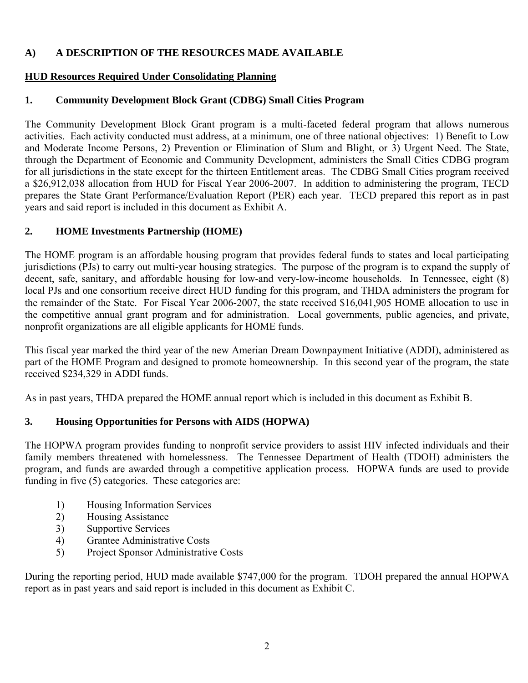# **A) A DESCRIPTION OF THE RESOURCES MADE AVAILABLE**

# **HUD Resources Required Under Consolidating Planning**

# **1. Community Development Block Grant (CDBG) Small Cities Program**

The Community Development Block Grant program is a multi-faceted federal program that allows numerous activities. Each activity conducted must address, at a minimum, one of three national objectives: 1) Benefit to Low and Moderate Income Persons, 2) Prevention or Elimination of Slum and Blight, or 3) Urgent Need. The State, through the Department of Economic and Community Development, administers the Small Cities CDBG program for all jurisdictions in the state except for the thirteen Entitlement areas. The CDBG Small Cities program received a \$26,912,038 allocation from HUD for Fiscal Year 2006-2007. In addition to administering the program, TECD prepares the State Grant Performance/Evaluation Report (PER) each year. TECD prepared this report as in past years and said report is included in this document as Exhibit A.

# **2. HOME Investments Partnership (HOME)**

The HOME program is an affordable housing program that provides federal funds to states and local participating jurisdictions (PJs) to carry out multi-year housing strategies. The purpose of the program is to expand the supply of decent, safe, sanitary, and affordable housing for low-and very-low-income households. In Tennessee, eight (8) local PJs and one consortium receive direct HUD funding for this program, and THDA administers the program for the remainder of the State. For Fiscal Year 2006-2007, the state received \$16,041,905 HOME allocation to use in the competitive annual grant program and for administration. Local governments, public agencies, and private, nonprofit organizations are all eligible applicants for HOME funds.

This fiscal year marked the third year of the new Amerian Dream Downpayment Initiative (ADDI), administered as part of the HOME Program and designed to promote homeownership. In this second year of the program, the state received \$234,329 in ADDI funds.

As in past years, THDA prepared the HOME annual report which is included in this document as Exhibit B.

# **3. Housing Opportunities for Persons with AIDS (HOPWA)**

The HOPWA program provides funding to nonprofit service providers to assist HIV infected individuals and their family members threatened with homelessness. The Tennessee Department of Health (TDOH) administers the program, and funds are awarded through a competitive application process. HOPWA funds are used to provide funding in five (5) categories. These categories are:

- 1) Housing Information Services
- 2) Housing Assistance
- 3) Supportive Services
- 4) Grantee Administrative Costs
- 5) Project Sponsor Administrative Costs

During the reporting period, HUD made available \$747,000 for the program. TDOH prepared the annual HOPWA report as in past years and said report is included in this document as Exhibit C.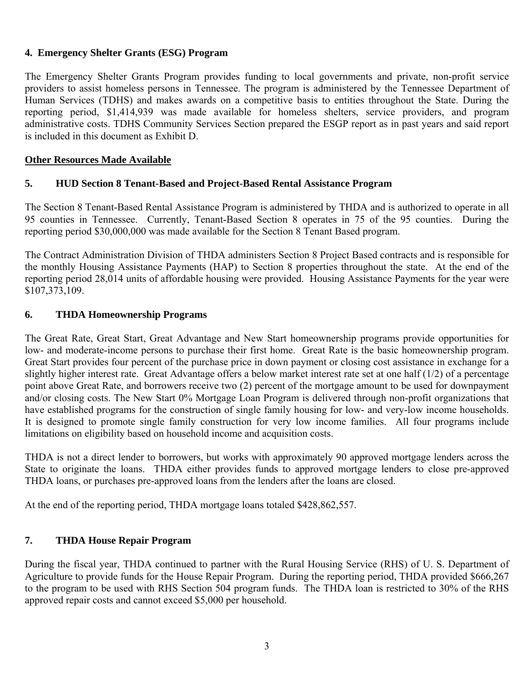#### **4. Emergency Shelter Grants (ESG) Program**

The Emergency Shelter Grants Program provides funding to local governments and private, non-profit service providers to assist homeless persons in Tennessee. The program is administered by the Tennessee Department of Human Services (TDHS) and makes awards on a competitive basis to entities throughout the State. During the reporting period, \$1,414,939 was made available for homeless shelters, service providers, and program administrative costs. TDHS Community Services Section prepared the ESGP report as in past years and said report is included in this document as Exhibit D.

#### **Other Resources Made Available**

#### **5. HUD Section 8 Tenant-Based and Project-Based Rental Assistance Program**

The Section 8 Tenant-Based Rental Assistance Program is administered by THDA and is authorized to operate in all 95 counties in Tennessee. Currently, Tenant-Based Section 8 operates in 75 of the 95 counties. During the reporting period \$30,000,000 was made available for the Section 8 Tenant Based program.

The Contract Administration Division of THDA administers Section 8 Project Based contracts and is responsible for the monthly Housing Assistance Payments (HAP) to Section 8 properties throughout the state. At the end of the reporting period 28,014 units of affordable housing were provided. Housing Assistance Payments for the year were \$107,373,109.

#### **6. THDA Homeownership Programs**

The Great Rate, Great Start, Great Advantage and New Start homeownership programs provide opportunities for low- and moderate-income persons to purchase their first home. Great Rate is the basic homeownership program. Great Start provides four percent of the purchase price in down payment or closing cost assistance in exchange for a slightly higher interest rate. Great Advantage offers a below market interest rate set at one half  $(1/2)$  of a percentage point above Great Rate, and borrowers receive two (2) percent of the mortgage amount to be used for downpayment and/or closing costs. The New Start 0% Mortgage Loan Program is delivered through non-profit organizations that have established programs for the construction of single family housing for low- and very-low income households. It is designed to promote single family construction for very low income families. All four programs include limitations on eligibility based on household income and acquisition costs.

THDA is not a direct lender to borrowers, but works with approximately 90 approved mortgage lenders across the State to originate the loans. THDA either provides funds to approved mortgage lenders to close pre-approved THDA loans, or purchases pre-approved loans from the lenders after the loans are closed.

At the end of the reporting period, THDA mortgage loans totaled \$428,862,557.

#### **7. THDA House Repair Program**

During the fiscal year, THDA continued to partner with the Rural Housing Service (RHS) of U. S. Department of Agriculture to provide funds for the House Repair Program. During the reporting period, THDA provided \$666,267 to the program to be used with RHS Section 504 program funds. The THDA loan is restricted to 30% of the RHS approved repair costs and cannot exceed \$5,000 per household.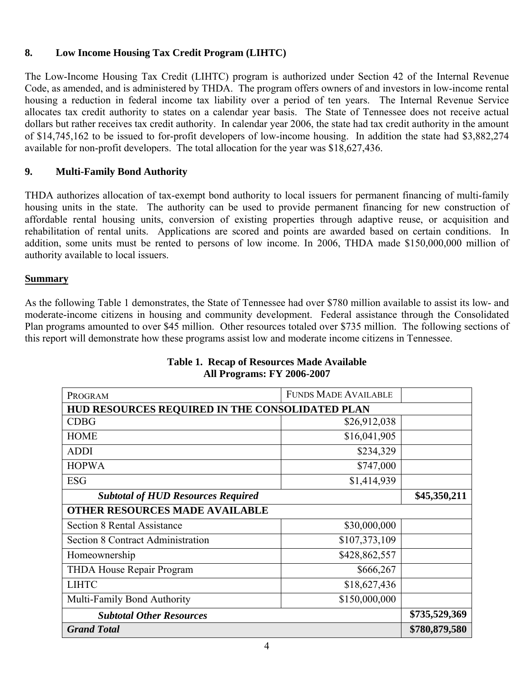# **8. Low Income Housing Tax Credit Program (LIHTC)**

The Low-Income Housing Tax Credit (LIHTC) program is authorized under Section 42 of the Internal Revenue Code, as amended, and is administered by THDA. The program offers owners of and investors in low-income rental housing a reduction in federal income tax liability over a period of ten years. The Internal Revenue Service allocates tax credit authority to states on a calendar year basis. The State of Tennessee does not receive actual dollars but rather receives tax credit authority. In calendar year 2006, the state had tax credit authority in the amount of \$14,745,162 to be issued to for-profit developers of low-income housing. In addition the state had \$3,882,274 available for non-profit developers. The total allocation for the year was \$18,627,436.

#### **9. Multi-Family Bond Authority**

THDA authorizes allocation of tax-exempt bond authority to local issuers for permanent financing of multi-family housing units in the state. The authority can be used to provide permanent financing for new construction of affordable rental housing units, conversion of existing properties through adaptive reuse, or acquisition and rehabilitation of rental units. Applications are scored and points are awarded based on certain conditions. In addition, some units must be rented to persons of low income. In 2006, THDA made \$150,000,000 million of authority available to local issuers.

#### **Summary**

As the following Table 1 demonstrates, the State of Tennessee had over \$780 million available to assist its low- and moderate-income citizens in housing and community development. Federal assistance through the Consolidated Plan programs amounted to over \$45 million. Other resources totaled over \$735 million. The following sections of this report will demonstrate how these programs assist low and moderate income citizens in Tennessee.

| PROGRAM                                         | <b>FUNDS MADE AVAILABLE</b> |  |  |  |  |
|-------------------------------------------------|-----------------------------|--|--|--|--|
| HUD RESOURCES REQUIRED IN THE CONSOLIDATED PLAN |                             |  |  |  |  |
| <b>CDBG</b>                                     | \$26,912,038                |  |  |  |  |
| <b>HOME</b>                                     | \$16,041,905                |  |  |  |  |
| <b>ADDI</b>                                     | \$234,329                   |  |  |  |  |
| <b>HOPWA</b>                                    | \$747,000                   |  |  |  |  |
| <b>ESG</b>                                      | \$1,414,939                 |  |  |  |  |
| <b>Subtotal of HUD Resources Required</b>       | \$45,350,211                |  |  |  |  |
| <b>OTHER RESOURCES MADE AVAILABLE</b>           |                             |  |  |  |  |
| <b>Section 8 Rental Assistance</b>              | \$30,000,000                |  |  |  |  |
| <b>Section 8 Contract Administration</b>        | \$107,373,109               |  |  |  |  |
| Homeownership                                   | \$428,862,557               |  |  |  |  |
| THDA House Repair Program                       | \$666,267                   |  |  |  |  |
| <b>LIHTC</b>                                    | \$18,627,436                |  |  |  |  |
| Multi-Family Bond Authority                     | \$150,000,000               |  |  |  |  |
| <b>Subtotal Other Resources</b>                 | \$735,529,369               |  |  |  |  |
| <b>Grand Total</b>                              | \$780,879,580               |  |  |  |  |

# **Table 1. Recap of Resources Made Available All Programs: FY 2006-2007**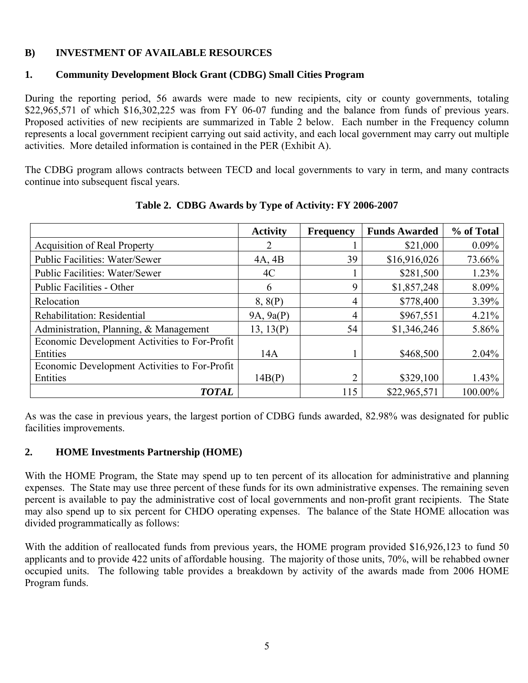# **B) INVESTMENT OF AVAILABLE RESOURCES**

#### **1. Community Development Block Grant (CDBG) Small Cities Program**

During the reporting period, 56 awards were made to new recipients, city or county governments, totaling \$22,965,571 of which \$16,302,225 was from FY 06-07 funding and the balance from funds of previous years. Proposed activities of new recipients are summarized in Table 2 below. Each number in the Frequency column represents a local government recipient carrying out said activity, and each local government may carry out multiple activities. More detailed information is contained in the PER (Exhibit A).

The CDBG program allows contracts between TECD and local governments to vary in term, and many contracts continue into subsequent fiscal years.

|                                               | <b>Activity</b> | <b>Frequency</b> | <b>Funds Awarded</b> | % of Total |
|-----------------------------------------------|-----------------|------------------|----------------------|------------|
| <b>Acquisition of Real Property</b>           |                 |                  | \$21,000             | $0.09\%$   |
| <b>Public Facilities: Water/Sewer</b>         | 4A, 4B          | 39               | \$16,916,026         | 73.66%     |
| <b>Public Facilities: Water/Sewer</b>         | 4C              |                  | \$281,500            | 1.23%      |
| <b>Public Facilities - Other</b>              | 6               | 9                | \$1,857,248          | 8.09%      |
| Relocation                                    | 8, 8(P)         | 4                | \$778,400            | 3.39%      |
| Rehabilitation: Residential                   | 9A, 9a(P)       | 4                | \$967,551            | 4.21%      |
| Administration, Planning, & Management        | 13, 13(P)       | 54               | \$1,346,246          | 5.86%      |
| Economic Development Activities to For-Profit |                 |                  |                      |            |
| Entities                                      | 14A             |                  | \$468,500            | $2.04\%$   |
| Economic Development Activities to For-Profit |                 |                  |                      |            |
| Entities                                      | 14B(P)          |                  | \$329,100            | 1.43%      |
| <b>TOTAL</b>                                  |                 | 115              | \$22,965,571         | 100.00%    |

**Table 2. CDBG Awards by Type of Activity: FY 2006-2007** 

As was the case in previous years, the largest portion of CDBG funds awarded, 82.98% was designated for public facilities improvements.

#### **2. HOME Investments Partnership (HOME)**

With the HOME Program, the State may spend up to ten percent of its allocation for administrative and planning expenses. The State may use three percent of these funds for its own administrative expenses. The remaining seven percent is available to pay the administrative cost of local governments and non-profit grant recipients. The State may also spend up to six percent for CHDO operating expenses. The balance of the State HOME allocation was divided programmatically as follows:

With the addition of reallocated funds from previous years, the HOME program provided \$16,926,123 to fund 50 applicants and to provide 422 units of affordable housing. The majority of those units, 70%, will be rehabbed owner occupied units. The following table provides a breakdown by activity of the awards made from 2006 HOME Program funds.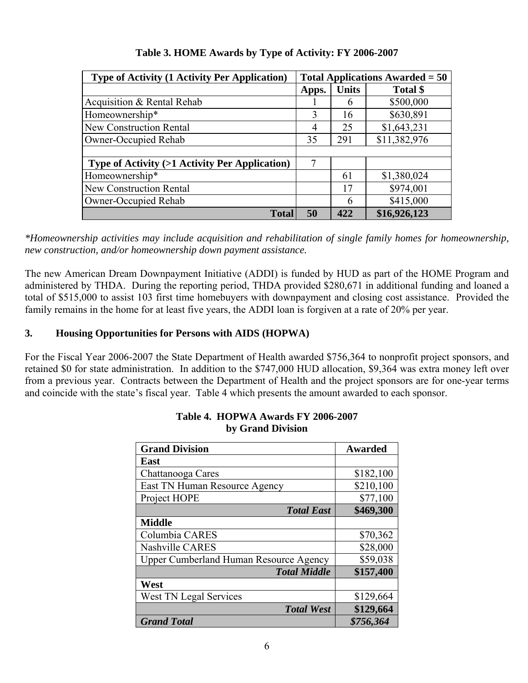| <b>Type of Activity (1 Activity Per Application)</b>     | Total Applications Awarded $= 50$ |              |              |
|----------------------------------------------------------|-----------------------------------|--------------|--------------|
|                                                          | Apps.                             | <b>Units</b> | Total \$     |
| Acquisition & Rental Rehab                               |                                   | 6            | \$500,000    |
| Homeownership*                                           | $\mathcal{E}$                     | 16           | \$630,891    |
| New Construction Rental                                  |                                   | 25           | \$1,643,231  |
| <b>Owner-Occupied Rehab</b>                              |                                   | 291          | \$11,382,976 |
|                                                          |                                   |              |              |
| <b>Type of Activity (&gt;1 Activity Per Application)</b> | 7                                 |              |              |
| Homeownership*                                           |                                   | 61           | \$1,380,024  |
| <b>New Construction Rental</b>                           |                                   | 17           | \$974,001    |
| Owner-Occupied Rehab                                     |                                   | 6            | \$415,000    |
| <b>Total</b>                                             | 50                                | 422          | \$16,926,123 |

# **Table 3. HOME Awards by Type of Activity: FY 2006-2007**

*\*Homeownership activities may include acquisition and rehabilitation of single family homes for homeownership, new construction, and/or homeownership down payment assistance.* 

The new American Dream Downpayment Initiative (ADDI) is funded by HUD as part of the HOME Program and administered by THDA. During the reporting period, THDA provided \$280,671 in additional funding and loaned a total of \$515,000 to assist 103 first time homebuyers with downpayment and closing cost assistance. Provided the family remains in the home for at least five years, the ADDI loan is forgiven at a rate of 20% per year.

# **3. Housing Opportunities for Persons with AIDS (HOPWA)**

For the Fiscal Year 2006-2007 the State Department of Health awarded \$756,364 to nonprofit project sponsors, and retained \$0 for state administration. In addition to the \$747,000 HUD allocation, \$9,364 was extra money left over from a previous year. Contracts between the Department of Health and the project sponsors are for one-year terms and coincide with the state's fiscal year. Table 4 which presents the amount awarded to each sponsor.

| <b>Grand Division</b>                         | <b>Awarded</b> |
|-----------------------------------------------|----------------|
| East                                          |                |
| Chattanooga Cares                             | \$182,100      |
| East TN Human Resource Agency                 | \$210,100      |
| Project HOPE                                  | \$77,100       |
| <b>Total East</b>                             | \$469,300      |
| <b>Middle</b>                                 |                |
| Columbia CARES                                | \$70,362       |
| <b>Nashville CARES</b>                        | \$28,000       |
| <b>Upper Cumberland Human Resource Agency</b> | \$59,038       |
| <b>Total Middle</b>                           | \$157,400      |
| West                                          |                |
| <b>West TN Legal Services</b>                 | \$129,664      |
| <b>Total West</b>                             | \$129,664      |
| <b>Grand Total</b>                            | \$756,364      |

#### **Table 4. HOPWA Awards FY 2006-2007 by Grand Division**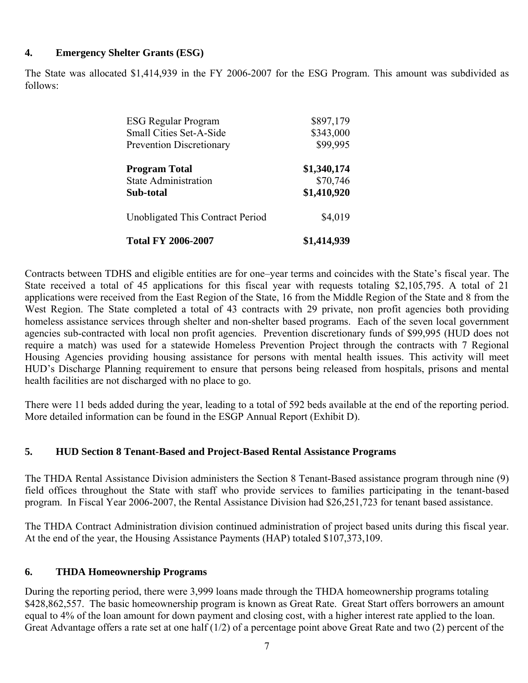#### **4. Emergency Shelter Grants (ESG)**

The State was allocated \$1,414,939 in the FY 2006-2007 for the ESG Program. This amount was subdivided as follows:

| <b>ESG Regular Program</b>       | \$897,179   |
|----------------------------------|-------------|
| <b>Small Cities Set-A-Side</b>   | \$343,000   |
| <b>Prevention Discretionary</b>  | \$99,995    |
| <b>Program Total</b>             | \$1,340,174 |
| <b>State Administration</b>      | \$70,746    |
| Sub-total                        | \$1,410,920 |
| Unobligated This Contract Period | \$4,019     |
| <b>Total FY 2006-2007</b>        | \$1,414,939 |

Contracts between TDHS and eligible entities are for one–year terms and coincides with the State's fiscal year. The State received a total of 45 applications for this fiscal year with requests totaling \$2,105,795. A total of 21 applications were received from the East Region of the State, 16 from the Middle Region of the State and 8 from the West Region. The State completed a total of 43 contracts with 29 private, non profit agencies both providing homeless assistance services through shelter and non-shelter based programs. Each of the seven local government agencies sub-contracted with local non profit agencies. Prevention discretionary funds of \$99,995 (HUD does not require a match) was used for a statewide Homeless Prevention Project through the contracts with 7 Regional Housing Agencies providing housing assistance for persons with mental health issues. This activity will meet HUD's Discharge Planning requirement to ensure that persons being released from hospitals, prisons and mental health facilities are not discharged with no place to go.

There were 11 beds added during the year, leading to a total of 592 beds available at the end of the reporting period. More detailed information can be found in the ESGP Annual Report (Exhibit D).

#### **5. HUD Section 8 Tenant-Based and Project-Based Rental Assistance Programs**

The THDA Rental Assistance Division administers the Section 8 Tenant-Based assistance program through nine (9) field offices throughout the State with staff who provide services to families participating in the tenant-based program. In Fiscal Year 2006-2007, the Rental Assistance Division had \$26,251,723 for tenant based assistance.

The THDA Contract Administration division continued administration of project based units during this fiscal year. At the end of the year, the Housing Assistance Payments (HAP) totaled \$107,373,109.

#### **6. THDA Homeownership Programs**

During the reporting period, there were 3,999 loans made through the THDA homeownership programs totaling \$428,862,557. The basic homeownership program is known as Great Rate. Great Start offers borrowers an amount equal to 4% of the loan amount for down payment and closing cost, with a higher interest rate applied to the loan. Great Advantage offers a rate set at one half (1/2) of a percentage point above Great Rate and two (2) percent of the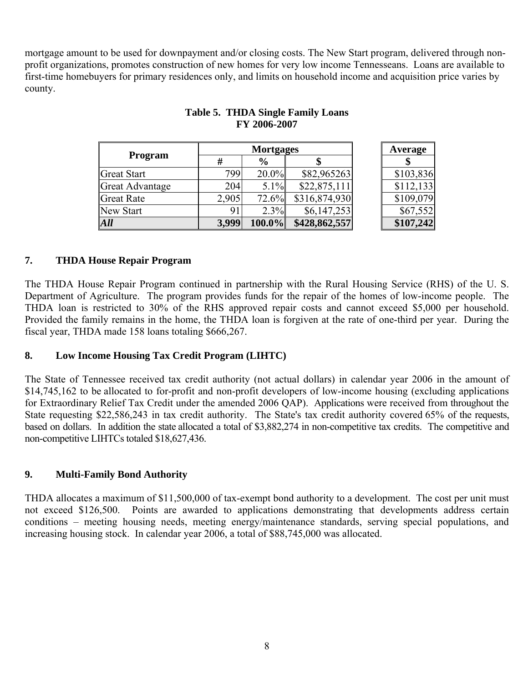mortgage amount to be used for downpayment and/or closing costs. The New Start program, delivered through nonprofit organizations, promotes construction of new homes for very low income Tennesseans. Loans are available to first-time homebuyers for primary residences only, and limits on household income and acquisition price varies by county.

|                 |       | <b>Mortgages</b> | Average       |           |
|-----------------|-------|------------------|---------------|-----------|
| <b>Program</b>  | #     | $\frac{6}{9}$    |               |           |
| Great Start     | 799   | 20.0%            | \$82,965263   | \$103,836 |
| Great Advantage | 204   | 5.1%             | \$22,875,111  | \$112,133 |
| Great Rate      | 2,905 | 72.6%            | \$316,874,930 | \$109,079 |
| New Start       | 91    | 2.3%             | \$6,147,253   | \$67,552  |
| All             | 3,999 | 100.0%           | \$428,862,557 | \$107,242 |

# **Table 5. THDA Single Family Loans FY 2006-2007**

# **7. THDA House Repair Program**

The THDA House Repair Program continued in partnership with the Rural Housing Service (RHS) of the U. S. Department of Agriculture. The program provides funds for the repair of the homes of low-income people. The THDA loan is restricted to 30% of the RHS approved repair costs and cannot exceed \$5,000 per household. Provided the family remains in the home, the THDA loan is forgiven at the rate of one-third per year. During the fiscal year, THDA made 158 loans totaling \$666,267.

#### **8. Low Income Housing Tax Credit Program (LIHTC)**

The State of Tennessee received tax credit authority (not actual dollars) in calendar year 2006 in the amount of \$14,745,162 to be allocated to for-profit and non-profit developers of low-income housing (excluding applications for Extraordinary Relief Tax Credit under the amended 2006 QAP). Applications were received from throughout the State requesting \$22,586,243 in tax credit authority. The State's tax credit authority covered 65% of the requests, based on dollars. In addition the state allocated a total of \$3,882,274 in non-competitive tax credits. The competitive and non-competitive LIHTCs totaled \$18,627,436.

# **9. Multi-Family Bond Authority**

THDA allocates a maximum of \$11,500,000 of tax-exempt bond authority to a development. The cost per unit must not exceed \$126,500. Points are awarded to applications demonstrating that developments address certain conditions – meeting housing needs, meeting energy/maintenance standards, serving special populations, and increasing housing stock. In calendar year 2006, a total of \$88,745,000 was allocated.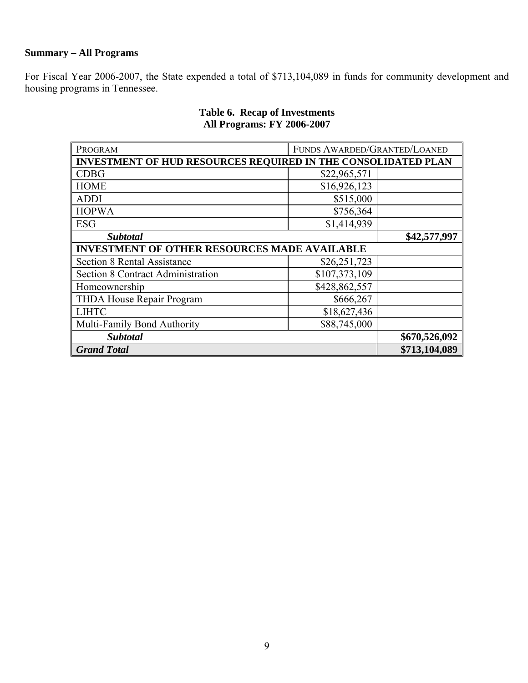# **Summary – All Programs**

For Fiscal Year 2006-2007, the State expended a total of \$713,104,089 in funds for community development and housing programs in Tennessee.

| PROGRAM                                                              | FUNDS AWARDED/GRANTED/LOANED |  |
|----------------------------------------------------------------------|------------------------------|--|
| <b>INVESTMENT OF HUD RESOURCES REQUIRED IN THE CONSOLIDATED PLAN</b> |                              |  |
| <b>CDBG</b>                                                          | \$22,965,571                 |  |
| <b>HOME</b>                                                          | \$16,926,123                 |  |
| <b>ADDI</b>                                                          | \$515,000                    |  |
| <b>HOPWA</b>                                                         | \$756,364                    |  |
| <b>ESG</b>                                                           | \$1,414,939                  |  |
| <b>Subtotal</b>                                                      | \$42,577,997                 |  |
| <b>INVESTMENT OF OTHER RESOURCES MADE AVAILABLE</b>                  |                              |  |
| <b>Section 8 Rental Assistance</b>                                   | \$26,251,723                 |  |
| Section 8 Contract Administration                                    | \$107,373,109                |  |
| Homeownership                                                        | \$428,862,557                |  |
| THDA House Repair Program                                            | \$666,267                    |  |
| <b>LIHTC</b>                                                         | \$18,627,436                 |  |
| Multi-Family Bond Authority                                          | \$88,745,000                 |  |
| <b>Subtotal</b>                                                      | \$670,526,092                |  |
| <b>Grand Total</b>                                                   | \$713,104,089                |  |

# **Table 6. Recap of Investments All Programs: FY 2006-2007**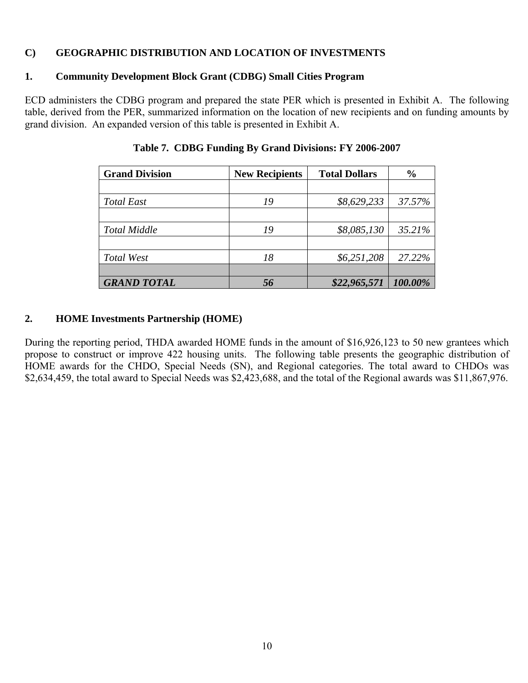#### **C) GEOGRAPHIC DISTRIBUTION AND LOCATION OF INVESTMENTS**

# **1. Community Development Block Grant (CDBG) Small Cities Program**

ECD administers the CDBG program and prepared the state PER which is presented in Exhibit A. The following table, derived from the PER, summarized information on the location of new recipients and on funding amounts by grand division. An expanded version of this table is presented in Exhibit A.

| <b>Grand Division</b> | <b>New Recipients</b> | <b>Total Dollars</b> | $\frac{6}{9}$ |
|-----------------------|-----------------------|----------------------|---------------|
|                       |                       |                      |               |
| <b>Total East</b>     | 19                    | \$8,629,233          | 37.57%        |
|                       |                       |                      |               |
| <b>Total Middle</b>   | 19                    | \$8,085,130          | 35.21%        |
|                       |                       |                      |               |
| Total West            | 18                    | \$6,251,208          | 27.22%        |
|                       |                       |                      |               |
| <b>GRAND TOTAL</b>    |                       | \$22,965,571         | 100.00%       |

**Table 7. CDBG Funding By Grand Divisions: FY 2006-2007**

#### **2. HOME Investments Partnership (HOME)**

During the reporting period, THDA awarded HOME funds in the amount of \$16,926,123 to 50 new grantees which propose to construct or improve 422 housing units. The following table presents the geographic distribution of HOME awards for the CHDO, Special Needs (SN), and Regional categories. The total award to CHDOs was \$2,634,459, the total award to Special Needs was \$2,423,688, and the total of the Regional awards was \$11,867,976.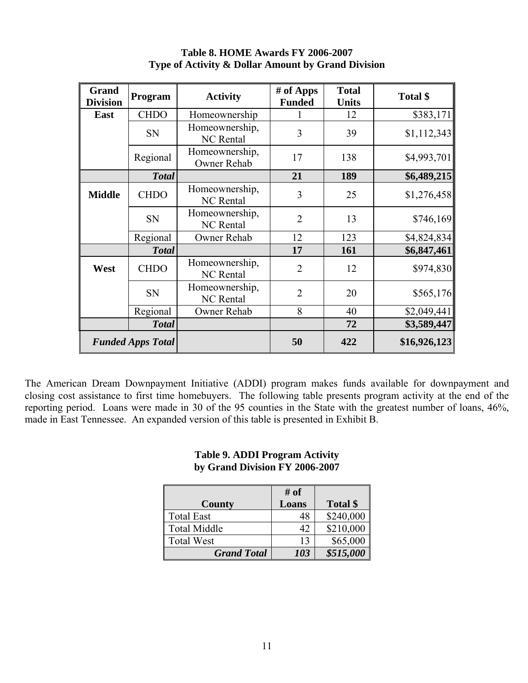| Grand<br><b>Division</b> | Program                  | <b>Activity</b>                    | # of Apps<br><b>Funded</b> | <b>Total</b><br><b>Units</b> | Total \$     |
|--------------------------|--------------------------|------------------------------------|----------------------------|------------------------------|--------------|
| East                     | <b>CHDO</b>              | Homeownership                      |                            | 12                           | \$383,171    |
|                          | <b>SN</b>                | Homeownership,<br><b>NC</b> Rental | 3                          | 39                           | \$1,112,343  |
|                          | Regional                 | Homeownership,<br>Owner Rehab      | 17                         | 138                          | \$4,993,701  |
|                          | <b>Total</b>             |                                    | 21                         | 189                          | \$6,489,215  |
| <b>Middle</b>            | <b>CHDO</b>              | Homeownership,<br><b>NC</b> Rental | 3                          | 25                           | \$1,276,458  |
|                          | SN                       | Homeownership,<br><b>NC</b> Rental | $\overline{2}$             | 13                           | \$746,169    |
|                          | Regional                 | Owner Rehab                        | 12                         | 123                          | \$4,824,834  |
|                          | <b>Total</b>             |                                    | 17                         | 161                          | \$6,847,461  |
| West                     | <b>CHDO</b>              | Homeownership,<br><b>NC</b> Rental | $\overline{2}$             | 12                           | \$974,830    |
|                          | <b>SN</b>                | Homeownership,<br><b>NC</b> Rental | $\overline{2}$             | 20                           | \$565,176    |
|                          | Regional                 | Owner Rehab                        | 8                          | 40                           | \$2,049,441  |
| <b>Total</b>             |                          |                                    |                            | 72                           | \$3,589,447  |
|                          | <b>Funded Apps Total</b> |                                    | 50                         | 422                          | \$16,926,123 |

#### **Table 8. HOME Awards FY 2006-2007 Type of Activity & Dollar Amount by Grand Division**

The American Dream Downpayment Initiative (ADDI) program makes funds available for downpayment and closing cost assistance to first time homebuyers. The following table presents program activity at the end of the reporting period. Loans were made in 30 of the 95 counties in the State with the greatest number of loans, 46%, made in East Tennessee. An expanded version of this table is presented in Exhibit B.

#### **Table 9. ADDI Program Activity by Grand Division FY 2006-2007**

|                     | # of  |           |
|---------------------|-------|-----------|
| County              | Loans | Total \$  |
| <b>Total East</b>   | 48    | \$240,000 |
| <b>Total Middle</b> | 42    | \$210,000 |
| <b>Total West</b>   | 13    | \$65,000  |
| <b>Grand Total</b>  | 103   | \$515,000 |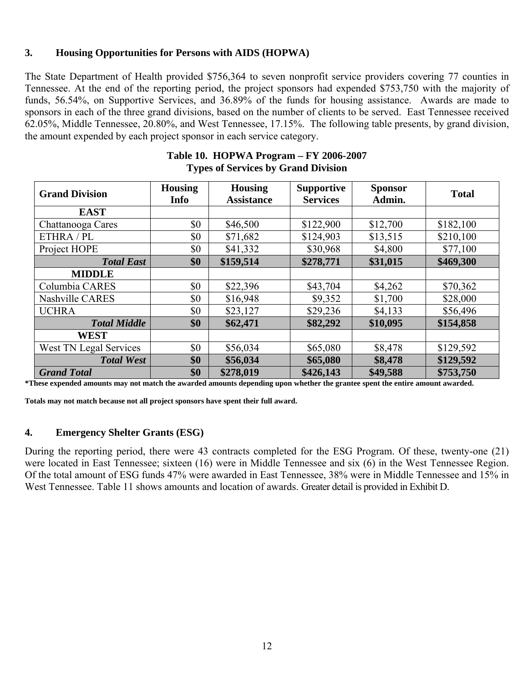#### **3. Housing Opportunities for Persons with AIDS (HOPWA)**

The State Department of Health provided \$756,364 to seven nonprofit service providers covering 77 counties in Tennessee. At the end of the reporting period, the project sponsors had expended \$753,750 with the majority of funds, 56.54%, on Supportive Services, and 36.89% of the funds for housing assistance. Awards are made to sponsors in each of the three grand divisions, based on the number of clients to be served. East Tennessee received 62.05%, Middle Tennessee, 20.80%, and West Tennessee, 17.15%. The following table presents, by grand division, the amount expended by each project sponsor in each service category.

| <b>Grand Division</b>  | <b>Housing</b><br><b>Info</b> | <b>Housing</b><br><b>Assistance</b> | <b>Supportive</b><br><b>Services</b> | <b>Sponsor</b><br>Admin. | <b>Total</b> |
|------------------------|-------------------------------|-------------------------------------|--------------------------------------|--------------------------|--------------|
| <b>EAST</b>            |                               |                                     |                                      |                          |              |
| Chattanooga Cares      | \$0                           | \$46,500                            | \$122,900                            | \$12,700                 | \$182,100    |
| ETHRA / PL             | \$0                           | \$71,682                            | \$124,903                            | \$13,515                 | \$210,100    |
| Project HOPE           | \$0                           | \$41,332                            | \$30,968                             | \$4,800                  | \$77,100     |
| <b>Total East</b>      | \$0                           | \$159,514                           | \$278,771                            | \$31,015                 | \$469,300    |
| <b>MIDDLE</b>          |                               |                                     |                                      |                          |              |
| Columbia CARES         | \$0                           | \$22,396                            | \$43,704                             | \$4,262                  | \$70,362     |
| Nashville CARES        | \$0                           | \$16,948                            | \$9,352                              | \$1,700                  | \$28,000     |
| <b>UCHRA</b>           | \$0                           | \$23,127                            | \$29,236                             | \$4,133                  | \$56,496     |
| <b>Total Middle</b>    | \$0                           | \$62,471                            | \$82,292                             | \$10,095                 | \$154,858    |
| <b>WEST</b>            |                               |                                     |                                      |                          |              |
| West TN Legal Services | \$0                           | \$56,034                            | \$65,080                             | \$8,478                  | \$129,592    |
| <b>Total West</b>      | \$0                           | \$56,034                            | \$65,080                             | \$8,478                  | \$129,592    |
| <b>Grand Total</b>     | \$0                           | \$278,019                           | \$426,143                            | \$49,588                 | \$753,750    |

#### **Table 10. HOPWA Program – FY 2006-2007 Types of Services by Grand Division**

**\*These expended amounts may not match the awarded amounts depending upon whether the grantee spent the entire amount awarded.** 

**Totals may not match because not all project sponsors have spent their full award.** 

#### **4. Emergency Shelter Grants (ESG)**

During the reporting period, there were 43 contracts completed for the ESG Program. Of these, twenty-one (21) were located in East Tennessee; sixteen (16) were in Middle Tennessee and six (6) in the West Tennessee Region. Of the total amount of ESG funds 47% were awarded in East Tennessee, 38% were in Middle Tennessee and 15% in West Tennessee. Table 11 shows amounts and location of awards. Greater detail is provided in Exhibit D.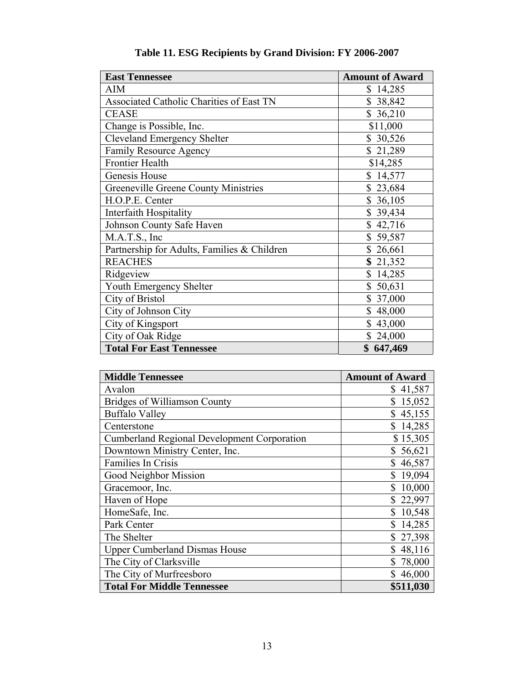| <b>East Tennessee</b>                       | <b>Amount of Award</b> |
|---------------------------------------------|------------------------|
| <b>AIM</b>                                  | \$14,285               |
| Associated Catholic Charities of East TN    | \$38,842               |
| <b>CEASE</b>                                | \$36,210               |
| Change is Possible, Inc.                    | \$11,000               |
| <b>Cleveland Emergency Shelter</b>          | \$30,526               |
| <b>Family Resource Agency</b>               | \$21,289               |
| Frontier Health                             | \$14,285               |
| Genesis House                               | \$14,577               |
| <b>Greeneville Greene County Ministries</b> | \$23,684               |
| H.O.P.E. Center                             | \$36,105               |
| <b>Interfaith Hospitality</b>               | \$39,434               |
| Johnson County Safe Haven                   | \$42,716               |
| M.A.T.S., Inc                               | \$59,587               |
| Partnership for Adults, Families & Children | \$26,661               |
| <b>REACHES</b>                              | \$21,352               |
| Ridgeview                                   | \$14,285               |
| <b>Youth Emergency Shelter</b>              | \$50,631               |
| City of Bristol                             | \$37,000               |
| City of Johnson City                        | \$48,000               |
| City of Kingsport                           | \$43,000               |
| City of Oak Ridge                           | \$24,000               |
| <b>Total For East Tennessee</b>             | \$647,469              |

| Table 11. ESG Recipients by Grand Division: FY 2006-2007 |  |  |
|----------------------------------------------------------|--|--|
|----------------------------------------------------------|--|--|

| <b>Middle Tennessee</b>                            | <b>Amount of Award</b> |
|----------------------------------------------------|------------------------|
| Avalon                                             | \$41,587               |
| <b>Bridges of Williamson County</b>                | \$15,052               |
| <b>Buffalo Valley</b>                              | \$45,155               |
| Centerstone                                        | \$14,285               |
| <b>Cumberland Regional Development Corporation</b> | \$15,305               |
| Downtown Ministry Center, Inc.                     | 56,621<br>\$           |
| Families In Crisis                                 | \$46,587               |
| Good Neighbor Mission                              | 19,094<br>\$           |
| Gracemoor, Inc.                                    | 10,000                 |
| Haven of Hope                                      | \$22,997               |
| HomeSafe, Inc.                                     | 10,548                 |
| Park Center                                        | 14,285                 |
| The Shelter                                        | \$27,398               |
| <b>Upper Cumberland Dismas House</b>               | \$48,116               |
| The City of Clarksville                            | 78,000                 |
| The City of Murfreesboro                           | \$46,000               |
| <b>Total For Middle Tennessee</b>                  | \$511,030              |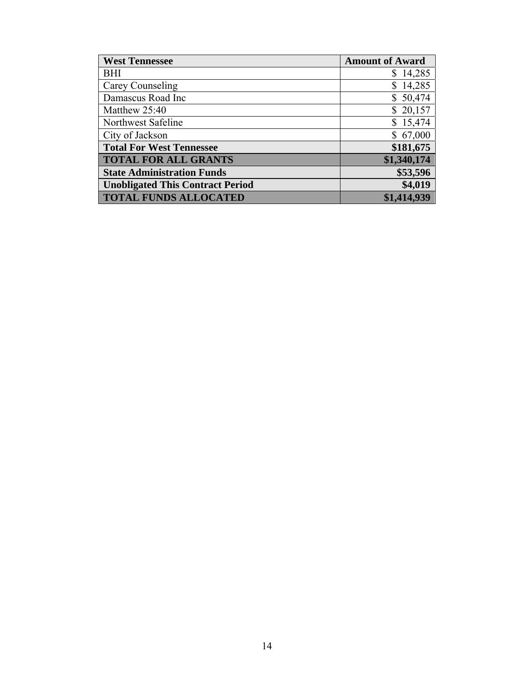| <b>West Tennessee</b>                   | <b>Amount of Award</b> |
|-----------------------------------------|------------------------|
| <b>BHI</b>                              | \$14,285               |
| Carey Counseling                        | \$14,285               |
| Damascus Road Inc                       | \$50,474               |
| Matthew 25:40                           | \$20,157               |
| Northwest Safeline                      | \$15,474               |
| City of Jackson                         | \$67,000               |
| <b>Total For West Tennessee</b>         | \$181,675              |
| <b>TOTAL FOR ALL GRANTS</b>             | \$1,340,174            |
| <b>State Administration Funds</b>       | \$53,596               |
| <b>Unobligated This Contract Period</b> | \$4,019                |
| <b>TOTAL FUNDS ALLOCATED</b>            | \$1,414,939            |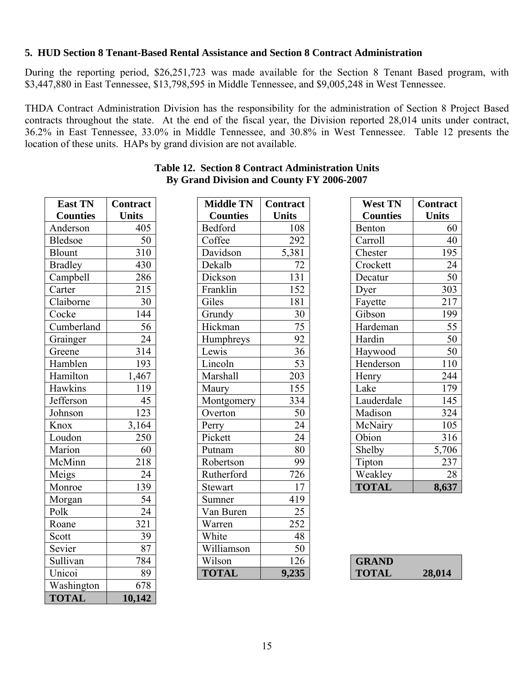#### **5. HUD Section 8 Tenant-Based Rental Assistance and Section 8 Contract Administration**

During the reporting period, \$26,251,723 was made available for the Section 8 Tenant Based program, with \$3,447,880 in East Tennessee, \$13,798,595 in Middle Tennessee, and \$9,005,248 in West Tennessee.

THDA Contract Administration Division has the responsibility for the administration of Section 8 Project Based contracts throughout the state. At the end of the fiscal year, the Division reported 28,014 units under contract, 36.2% in East Tennessee, 33.0% in Middle Tennessee, and 30.8% in West Tennessee. Table 12 presents the location of these units. HAPs by grand division are not available.

| East TN         | Contract         |
|-----------------|------------------|
| <b>Counties</b> | <b>Units</b>     |
| Anderson        | 405              |
| <b>Bledsoe</b>  | 50               |
| <b>Blount</b>   | 310              |
| <b>Bradley</b>  | 430              |
| Campbell        | 286              |
| Carter          | 215              |
| Claiborne       | $\overline{30}$  |
| Cocke           | 144              |
| Cumberland      | 56               |
| Grainger        | 24               |
| Greene          | 314              |
| Hamblen         | 193              |
| Hamilton        | 1,467            |
| Hawkins         | 119              |
| Jefferson       | $\overline{45}$  |
| Johnson         | $\overline{123}$ |
| Knox            | 3,164            |
| Loudon          | 250              |
| Marion          | 60               |
| McMinn          | 218              |
| Meigs           | 24               |
| Monroe          | 139              |
| Morgan          | $\overline{54}$  |
| Polk            | 24               |
| Roane           | 321              |
| Scott           | 39               |
| Sevier          | $\overline{87}$  |
| Sullivan        | 784              |
| Unicoi          | 89               |
| Washington      | 678              |
| <b>TOTAL</b>    | 10,142           |

|                                           | <b>Table 12. Section 8 Contract Administration Units</b> |
|-------------------------------------------|----------------------------------------------------------|
| By Grand Division and County FY 2006-2007 |                                                          |

| <b>East TN</b>  | <b>Contract</b> | <b>Middle TN</b> | <b>Contract</b> | <b>West TN</b>  | Contract         |
|-----------------|-----------------|------------------|-----------------|-----------------|------------------|
| <b>Counties</b> | <b>Units</b>    | <b>Counties</b>  | <b>Units</b>    | <b>Counties</b> | <b>Units</b>     |
| Anderson        | 405             | Bedford          | 108             | Benton          | 60               |
| <b>Bledsoe</b>  | 50              | Coffee           | 292             | Carroll         | 40               |
| Blount          | 310             | Davidson         | 5,381           | Chester         | 195              |
| <b>Bradley</b>  | 430             | Dekalb           | 72              | Crockett        | 24               |
| Campbell        | 286             | Dickson          | 131             | Decatur         | $\overline{50}$  |
| Carter          | 215             | Franklin         | 152             | Dyer            | 303              |
| Claiborne       | 30              | Giles            | 181             | Fayette         | 217              |
| Cocke           | 144             | Grundy           | $\overline{30}$ | Gibson          | 199              |
| Cumberland      | 56              | Hickman          | 75              | Hardeman        | 55               |
| Grainger        | 24              | Humphreys        | 92              | Hardin          | 50               |
| Greene          | 314             | Lewis            | $\overline{36}$ | Haywood         | 50               |
| Hamblen         | 193             | Lincoln          | $\overline{53}$ | Henderson       | 110              |
| Hamilton        | 1,467           | Marshall         | 203             | Henry           | 244              |
| Hawkins         | 119             | Maury            | 155             | Lake            | 179              |
| Jefferson       | 45              | Montgomery       | 334             | Lauderdale      | $\overline{145}$ |
| Johnson         | 123             | Overton          | $\overline{50}$ | Madison         | 324              |
| Knox            | 3,164           | Perry            | 24              | McNairy         | 105              |
| Loudon          | 250             | Pickett          | 24              | Obion           | 316              |
| Marion          | 60              | Putnam           | 80              | Shelby          | 5,706            |
| McMinn          | 218             | Robertson        | 99              | Tipton          | 237              |
| Meigs           | 24              | Rutherford       | 726             | Weakley         | $\overline{28}$  |
| Monroe          | 139             | Stewart          | 17              | <b>TOTAL</b>    | 8,637            |
| Morgan          | 54              | Sumner           | 419             |                 |                  |
| Polk            | $\overline{24}$ | Van Buren        | $\overline{25}$ |                 |                  |
| Roane           | 321             | Warren           | 252             |                 |                  |
| Scott           | 39              | White            | 48              |                 |                  |
| Sevier          | 87              | Williamson       | $\overline{50}$ |                 |                  |
| Sullivan        | 784             | Wilson           | 126             | <b>GRAND</b>    |                  |
| Unicoi          | 89              | <b>TOTAL</b>     | 9,235           | <b>TOTAL</b>    | 28,014           |
|                 |                 |                  |                 |                 |                  |

| <b>West TN</b>  | <b>Contract</b> |
|-----------------|-----------------|
| <b>Counties</b> | <b>Units</b>    |
| Benton          | 60              |
| Carroll         | 40              |
| Chester         | 195             |
| Crockett        | 24              |
| Decatur         | 50              |
| Dyer            | 303             |
| Fayette         | 217             |
| Gibson          | 199             |
| Hardeman        | 55              |
| Hardin          | 50              |
| Haywood         | 50              |
| Henderson       | 110             |
| Henry           | 244             |
| Lake            | 179             |
| Lauderdale      | 145             |
| Madison         | 324             |
| McNairy         | 105             |
| Obion           | 316             |
| Shelby          | 5,706           |
| Tipton          | 237             |
| Weakley         | 28              |
| <b>TOTAL</b>    | 8,637           |

| <b>GRAND</b> |        |
|--------------|--------|
| <b>TOTAL</b> | 28,014 |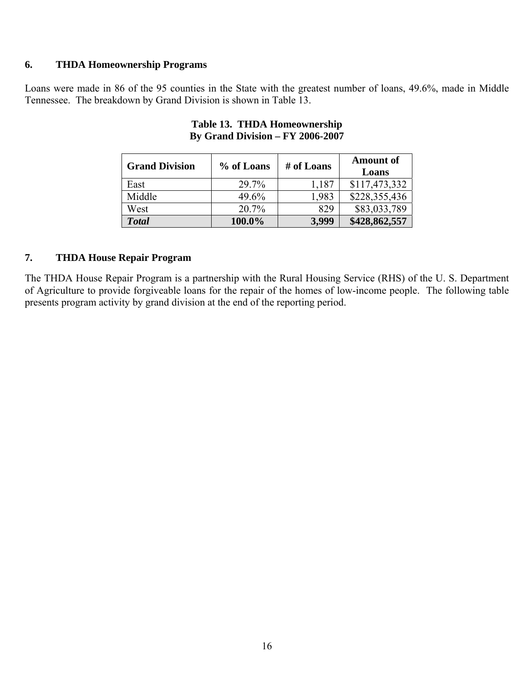#### **6. THDA Homeownership Programs**

Loans were made in 86 of the 95 counties in the State with the greatest number of loans, 49.6%, made in Middle Tennessee. The breakdown by Grand Division is shown in Table 13.

| <b>Grand Division</b> | % of Loans | # of Loans | <b>Amount of</b><br>Loans |
|-----------------------|------------|------------|---------------------------|
| East                  | 29.7%      | 1,187      | \$117,473,332             |
| Middle                | 49.6%      | 1,983      | \$228,355,436             |
| West                  | 20.7%      | 829        | \$83,033,789              |
| <b>Total</b>          | 100.0%     | 3,999      | \$428,862,557             |

# **Table 13. THDA Homeownership By Grand Division – FY 2006-2007**

#### **7. THDA House Repair Program**

The THDA House Repair Program is a partnership with the Rural Housing Service (RHS) of the U. S. Department of Agriculture to provide forgiveable loans for the repair of the homes of low-income people. The following table presents program activity by grand division at the end of the reporting period.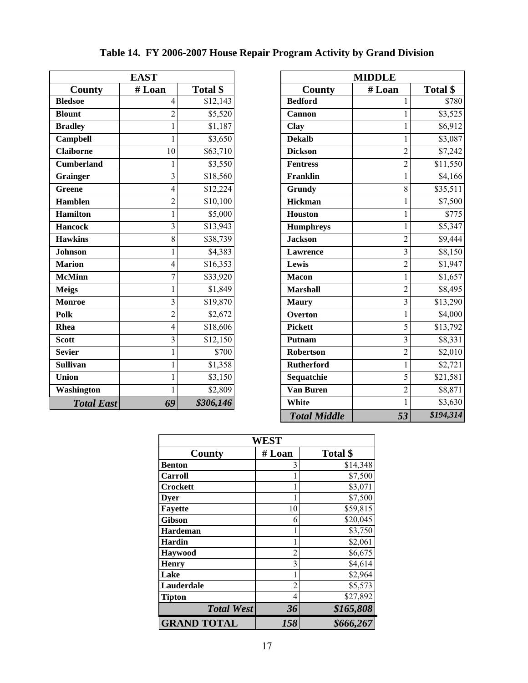|                   | <b>EAST</b>             |                     |
|-------------------|-------------------------|---------------------|
| County            | # Loan                  | Total \$            |
| <b>Bledsoe</b>    | $\overline{4}$          | \$12,143            |
| <b>Blount</b>     | $\overline{2}$          | \$5,520             |
| <b>Bradley</b>    | $\mathbf{1}$            | $\overline{$}1,187$ |
| Campbell          | 1                       | \$3,650             |
| <b>Claiborne</b>  | 10                      | \$63,710            |
| <b>Cumberland</b> | 1                       | \$3,550             |
| <b>Grainger</b>   | 3                       | \$18,560            |
| Greene            | $\overline{4}$          | \$12,224            |
| <b>Hamblen</b>    | $\overline{2}$          | \$10,100            |
| <b>Hamilton</b>   | $\mathbf{1}$            | \$5,000             |
| <b>Hancock</b>    | $\overline{3}$          | \$13,943            |
| <b>Hawkins</b>    | 8                       | \$38,739            |
| <b>Johnson</b>    | $\mathbf{1}$            | \$4,383             |
| <b>Marion</b>     | $\overline{4}$          | \$16,353            |
| <b>McMinn</b>     | $\overline{7}$          | \$33,920            |
| <b>Meigs</b>      | 1                       | \$1,849             |
| <b>Monroe</b>     | 3                       | \$19,870            |
| <b>Polk</b>       | $\overline{2}$          | \$2,672             |
| <b>Rhea</b>       | $\overline{4}$          | \$18,606            |
| <b>Scott</b>      | $\overline{\mathbf{3}}$ | \$12,150            |
| <b>Sevier</b>     | $\mathbf{1}$            | \$700               |
| <b>Sullivan</b>   | $\mathbf{1}$            | \$1,358             |
| Union             | 1                       | \$3,150             |
| Washington        | 1                       | \$2,809             |
| <b>Total East</b> | 69                      | \$306,146           |

| Table 14. FY 2006-2007 House Repair Program Activity by Grand Division |
|------------------------------------------------------------------------|
|------------------------------------------------------------------------|

| <b>EAST</b>       |                         |           |                     | <b>MIDDLE</b>  |           |
|-------------------|-------------------------|-----------|---------------------|----------------|-----------|
| <b>County</b>     | #Loan                   | Total \$  | <b>County</b>       | # Loan         | Total \$  |
| <b>Bledsoe</b>    | 4                       | \$12,143  | <b>Bedford</b>      |                | \$780     |
| <b>Blount</b>     | $\overline{2}$          | \$5,520   | Cannon              |                | \$3,525   |
| <b>Bradley</b>    |                         | \$1,187   | Clay                |                | \$6,912   |
| Campbell          | 1                       | \$3,650   | <b>Dekalb</b>       | 1              | \$3,087   |
| <b>Claiborne</b>  | 10                      | \$63,710  | <b>Dickson</b>      | $\overline{2}$ | \$7,242   |
| <b>Cumberland</b> |                         | \$3,550   | <b>Fentress</b>     | $\overline{c}$ | \$11,550  |
| Grainger          | 3                       | \$18,560  | Franklin            |                | \$4,166   |
| Greene            | 4                       | \$12,224  | Grundy              | 8              | \$35,511  |
| <b>Hamblen</b>    | $\overline{2}$          | \$10,100  | <b>Hickman</b>      |                | \$7,500   |
| <b>Hamilton</b>   |                         | \$5,000   | Houston             | 1              | \$775     |
| <b>Hancock</b>    | $\overline{\mathbf{3}}$ | \$13,943  | <b>Humphreys</b>    |                | \$5,347   |
| <b>Hawkins</b>    | 8                       | \$38,739  | <b>Jackson</b>      | $\overline{2}$ | \$9,444   |
| Johnson           |                         | \$4,383   | <b>Lawrence</b>     | $\overline{3}$ | \$8,150   |
| <b>Marion</b>     | 4                       | \$16,353  | Lewis               | $\overline{2}$ | \$1,947   |
| McMinn            | 7                       | \$33,920  | <b>Macon</b>        |                | \$1,657   |
| <b>Meigs</b>      |                         | \$1,849   | <b>Marshall</b>     | $\overline{2}$ | \$8,495   |
| Monroe            | $\overline{3}$          | \$19,870  | <b>Maury</b>        | $\overline{3}$ | \$13,290  |
| Polk              | $\overline{2}$          | \$2,672   | <b>Overton</b>      | 1              | \$4,000   |
| Rhea              | 4                       | \$18,606  | <b>Pickett</b>      | 5              | \$13,792  |
| Scott             | 3                       | \$12,150  | Putnam              | 3              | \$8,331   |
| Sevier            |                         | \$700     | Robertson           | $\overline{2}$ | \$2,010   |
| Sullivan          |                         | \$1,358   | <b>Rutherford</b>   |                | \$2,721   |
| Union             |                         | \$3,150   | Sequatchie          | 5              | \$21,581  |
| Washington        |                         | \$2,809   | <b>Van Buren</b>    | $\overline{c}$ | \$8,871   |
| <b>Total East</b> | 69                      | \$306,146 | White               |                | \$3,630   |
|                   |                         |           | <b>Total Middle</b> | 53             | \$194,314 |

| WEST               |                |           |  |  |  |  |  |  |
|--------------------|----------------|-----------|--|--|--|--|--|--|
| County             | # Loan         | Total \$  |  |  |  |  |  |  |
| Benton             | 3              | \$14,348  |  |  |  |  |  |  |
| Carroll            |                | \$7,500   |  |  |  |  |  |  |
| <b>Crockett</b>    |                | \$3,071   |  |  |  |  |  |  |
| <b>Dyer</b>        | 1              | \$7,500   |  |  |  |  |  |  |
| <b>Fayette</b>     | 10             | \$59,815  |  |  |  |  |  |  |
| Gibson             | 6              | \$20,045  |  |  |  |  |  |  |
| Hardeman           |                | \$3,750   |  |  |  |  |  |  |
| <b>Hardin</b>      | 1              | \$2,061   |  |  |  |  |  |  |
| <b>Haywood</b>     | $\overline{c}$ | \$6,675   |  |  |  |  |  |  |
| <b>Henry</b>       | 3              | \$4,614   |  |  |  |  |  |  |
| Lake               | 1              | \$2,964   |  |  |  |  |  |  |
| Lauderdale         | $\overline{2}$ | \$5,573   |  |  |  |  |  |  |
| <b>Tipton</b>      | 4              | \$27,892  |  |  |  |  |  |  |
| <b>Total West</b>  | 36             | \$165,808 |  |  |  |  |  |  |
| <b>GRAND TOTAL</b> | 158            | \$666,267 |  |  |  |  |  |  |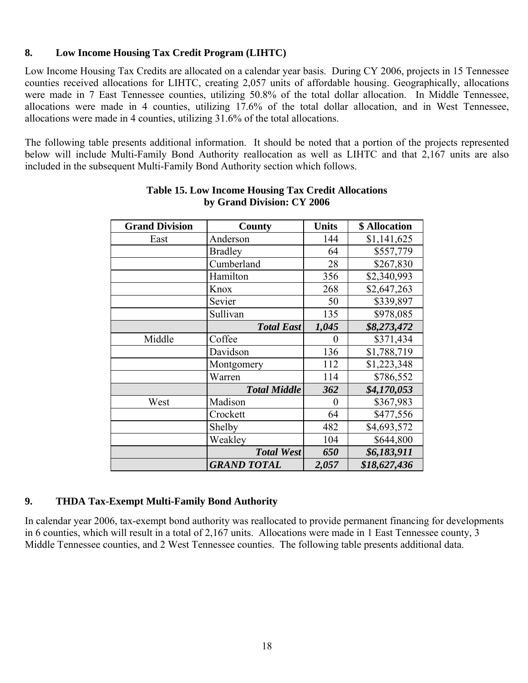# **8. Low Income Housing Tax Credit Program (LIHTC)**

Low Income Housing Tax Credits are allocated on a calendar year basis. During CY 2006, projects in 15 Tennessee counties received allocations for LIHTC, creating 2,057 units of affordable housing. Geographically, allocations were made in 7 East Tennessee counties, utilizing 50.8% of the total dollar allocation. In Middle Tennessee, allocations were made in 4 counties, utilizing 17.6% of the total dollar allocation, and in West Tennessee, allocations were made in 4 counties, utilizing 31.6% of the total allocations.

The following table presents additional information. It should be noted that a portion of the projects represented below will include Multi-Family Bond Authority reallocation as well as LIHTC and that 2,167 units are also included in the subsequent Multi-Family Bond Authority section which follows.

| <b>Grand Division</b> | County              | <b>Units</b>   | \$ Allocation |
|-----------------------|---------------------|----------------|---------------|
| East                  | Anderson            | 144            | \$1,141,625   |
|                       | <b>Bradley</b>      | 64             | \$557,779     |
|                       | Cumberland          | 28             | \$267,830     |
|                       | Hamilton            | 356            | \$2,340,993   |
|                       | Knox                | 268            | \$2,647,263   |
|                       | Sevier              | 50             | \$339,897     |
|                       | Sullivan            | 135            | \$978,085     |
|                       | <b>Total East</b>   | 1,045          | \$8,273,472   |
| Middle                | Coffee              | 0              | \$371,434     |
|                       | Davidson            | 136            | \$1,788,719   |
|                       | Montgomery          | 112            | \$1,223,348   |
|                       | Warren              | 114            | \$786,552     |
|                       | <b>Total Middle</b> | 362            | \$4,170,053   |
| West                  | Madison             | $\overline{0}$ | \$367,983     |
|                       | Crockett            | 64             | \$477,556     |
|                       | Shelby              | 482            | \$4,693,572   |
|                       | Weakley             | 104            | \$644,800     |
|                       | <b>Total West</b>   | 650            | \$6,183,911   |
|                       | <b>GRAND TOTAL</b>  | 2,057          | \$18,627,436  |

#### **Table 15. Low Income Housing Tax Credit Allocations by Grand Division: CY 2006**

#### **9. THDA Tax-Exempt Multi-Family Bond Authority**

In calendar year 2006, tax-exempt bond authority was reallocated to provide permanent financing for developments in 6 counties, which will result in a total of 2,167 units. Allocations were made in 1 East Tennessee county, 3 Middle Tennessee counties, and 2 West Tennessee counties. The following table presents additional data.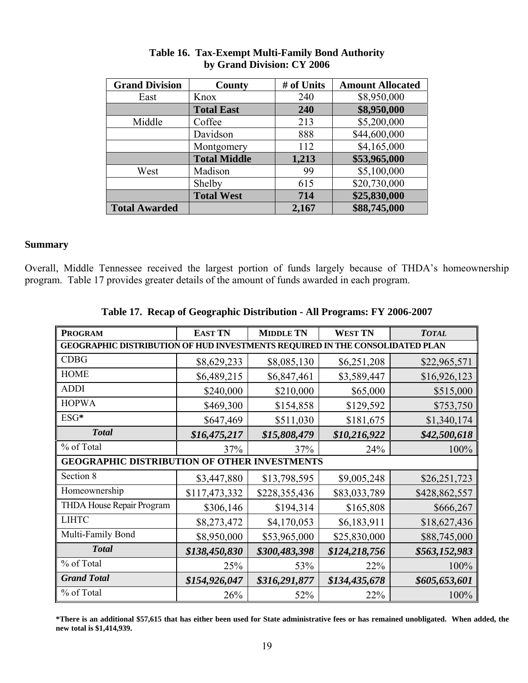| <b>Grand Division</b> | County              | # of Units | <b>Amount Allocated</b> |
|-----------------------|---------------------|------------|-------------------------|
| East                  | Knox                | 240        | \$8,950,000             |
|                       | <b>Total East</b>   | 240        | \$8,950,000             |
| Middle                | Coffee              | 213        | \$5,200,000             |
|                       | Davidson            | 888        | \$44,600,000            |
|                       | Montgomery          | 112        | \$4,165,000             |
|                       | <b>Total Middle</b> | 1,213      | \$53,965,000            |
| West                  | Madison             | 99         | \$5,100,000             |
|                       | Shelby              | 615        | \$20,730,000            |
|                       | <b>Total West</b>   | 714        | \$25,830,000            |
| <b>Total Awarded</b>  |                     | 2,167      | \$88,745,000            |

#### **Table 16. Tax-Exempt Multi-Family Bond Authority by Grand Division: CY 2006**

# **Summary**

Overall, Middle Tennessee received the largest portion of funds largely because of THDA's homeownership program. Table 17 provides greater details of the amount of funds awarded in each program.

| <b>PROGRAM</b>                                                               | <b>EAST TN</b> | <b>MIDDLE TN</b> | <b>WEST TN</b> | <b>TOTAL</b>  |
|------------------------------------------------------------------------------|----------------|------------------|----------------|---------------|
| GEOGRAPHIC DISTRIBUTION OF HUD INVESTMENTS REQUIRED IN THE CONSOLIDATED PLAN |                |                  |                |               |
| <b>CDBG</b>                                                                  | \$8,629,233    | \$8,085,130      | \$6,251,208    | \$22,965,571  |
| <b>HOME</b>                                                                  | \$6,489,215    | \$6,847,461      | \$3,589,447    | \$16,926,123  |
| <b>ADDI</b>                                                                  | \$240,000      | \$210,000        | \$65,000       | \$515,000     |
| <b>HOPWA</b>                                                                 | \$469,300      | \$154,858        | \$129,592      | \$753,750     |
| ESG*                                                                         | \$647,469      | \$511,030        | \$181,675      | \$1,340,174   |
| <b>Total</b>                                                                 | \$16,475,217   | \$15,808,479     | \$10,216,922   | \$42,500,618  |
| % of Total                                                                   | 37%            | 37%              | 24%            | 100%          |
| <b>GEOGRAPHIC DISTRIBUTION OF OTHER INVESTMENTS</b>                          |                |                  |                |               |
| Section 8                                                                    | \$3,447,880    | \$13,798,595     | \$9,005,248    | \$26,251,723  |
| Homeownership                                                                | \$117,473,332  | \$228,355,436    | \$83,033,789   | \$428,862,557 |
| <b>THDA House Repair Program</b>                                             | \$306,146      | \$194,314        | \$165,808      | \$666,267     |
| <b>LIHTC</b>                                                                 | \$8,273,472    | \$4,170,053      | \$6,183,911    | \$18,627,436  |
| Multi-Family Bond                                                            | \$8,950,000    | \$53,965,000     | \$25,830,000   | \$88,745,000  |
| <b>T</b> otal                                                                | \$138,450,830  | \$300,483,398    | \$124,218,756  | \$563,152,983 |
| % of Total                                                                   | 25%            | 53%              | 22%            | 100%          |
| <b>Grand Total</b>                                                           | \$154,926,047  | \$316,291,877    | \$134,435,678  | \$605,653,601 |
| % of Total                                                                   | 26%            | 52%              | 22%            | 100%          |

# **Table 17. Recap of Geographic Distribution - All Programs: FY 2006-2007**

**\*There is an additional \$57,615 that has either been used for State administrative fees or has remained unobligated. When added, the new total is \$1,414,939.**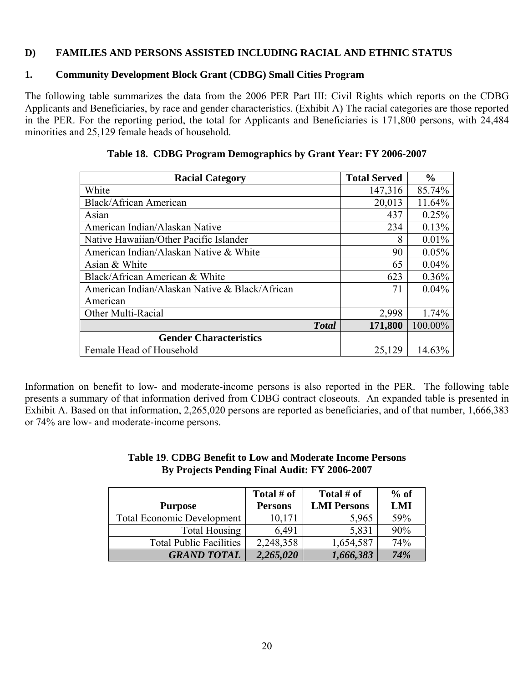#### **D) FAMILIES AND PERSONS ASSISTED INCLUDING RACIAL AND ETHNIC STATUS**

#### **1. Community Development Block Grant (CDBG) Small Cities Program**

The following table summarizes the data from the 2006 PER Part III: Civil Rights which reports on the CDBG Applicants and Beneficiaries, by race and gender characteristics. (Exhibit A) The racial categories are those reported in the PER. For the reporting period, the total for Applicants and Beneficiaries is 171,800 persons, with 24,484 minorities and 25,129 female heads of household.

| <b>Racial Category</b>                         | <b>Total Served</b> | $\frac{0}{0}$ |
|------------------------------------------------|---------------------|---------------|
| White                                          | 147,316             | 85.74%        |
| <b>Black/African American</b>                  | 20,013              | 11.64%        |
| Asian                                          | 437                 | 0.25%         |
| American Indian/Alaskan Native                 | 234                 | 0.13%         |
| Native Hawaiian/Other Pacific Islander         | 8                   | 0.01%         |
| American Indian/Alaskan Native & White         | 90                  | 0.05%         |
| Asian & White                                  | 65                  | 0.04%         |
| Black/African American & White                 | 623                 | 0.36%         |
| American Indian/Alaskan Native & Black/African | 71                  | $0.04\%$      |
| American                                       |                     |               |
| Other Multi-Racial                             | 2,998               | 1.74%         |
| <b>Total</b>                                   | 171,800             | 100.00%       |
| <b>Gender Characteristics</b>                  |                     |               |
| Female Head of Household                       | 25,129              | 14.63%        |

|  | Table 18. CDBG Program Demographics by Grant Year: FY 2006-2007 |  |
|--|-----------------------------------------------------------------|--|
|  |                                                                 |  |

Information on benefit to low- and moderate-income persons is also reported in the PER. The following table presents a summary of that information derived from CDBG contract closeouts. An expanded table is presented in Exhibit A. Based on that information, 2,265,020 persons are reported as beneficiaries, and of that number, 1,666,383 or 74% are low- and moderate-income persons.

#### **Table 19**. **CDBG Benefit to Low and Moderate Income Persons By Projects Pending Final Audit: FY 2006-2007**

|                                   | Total # of     | Total # of         | $%$ of |
|-----------------------------------|----------------|--------------------|--------|
| <b>Purpose</b>                    | <b>Persons</b> | <b>LMI Persons</b> | LMI    |
| <b>Total Economic Development</b> | 10,171         | 5,965              | 59%    |
| Total Housing                     | 6,491          | 5,831              | 90%    |
| <b>Total Public Facilities</b>    | 2,248,358      | 1,654,587          | 74%    |
| <b>GRAND TOTAL</b>                | 2,265,020      | 1,666,383          | 74%    |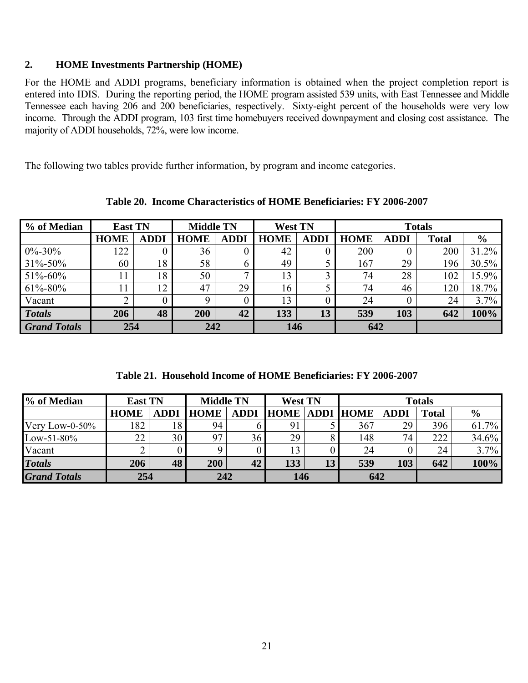#### **2. HOME Investments Partnership (HOME)**

For the HOME and ADDI programs, beneficiary information is obtained when the project completion report is entered into IDIS. During the reporting period, the HOME program assisted 539 units, with East Tennessee and Middle Tennessee each having 206 and 200 beneficiaries, respectively. Sixty-eight percent of the households were very low income. Through the ADDI program, 103 first time homebuyers received downpayment and closing cost assistance. The majority of ADDI households, 72%, were low income.

The following two tables provide further information, by program and income categories.

| % of Median         | <b>East TN</b> |             | <b>Middle TN</b> | <b>West TN</b> |             |             |             |             | <b>Totals</b> |               |
|---------------------|----------------|-------------|------------------|----------------|-------------|-------------|-------------|-------------|---------------|---------------|
|                     | <b>HOME</b>    | <b>ADDI</b> | <b>HOME</b>      | <b>ADDI</b>    | <b>HOME</b> | <b>ADDI</b> | <b>HOME</b> | <b>ADDI</b> | <b>Total</b>  | $\frac{6}{9}$ |
| $0\% - 30\%$        | 122            |             | 36               |                | 42          |             | 200         | v           | 200           | 31.2%         |
| $31\% - 50\%$       | 60             | 18          | 58               |                | 49          |             | 167         | 29          | 196           | 30.5%         |
| $51\% - 60\%$       |                | 18          | 50               |                | 13          |             | 74          | 28          | 102           | 15.9%         |
| $61\% - 80\%$       |                | 12          | 47               | 29             | 16          |             | 74          | 46          | 120           | 18.7%         |
| Vacant              |                |             |                  |                | 13          |             | 24          | $\theta$    | 24            | 3.7%          |
| <b>Totals</b>       | 206            | 48          | 200              | 42             | 133         | 13          | 539         | 103         | 642           | 100%          |
| <b>Grand Totals</b> | 254            |             | 242              |                | 146         |             | 642         |             |               |               |

**Table 20. Income Characteristics of HOME Beneficiaries: FY 2006-2007** 

**Table 21. Household Income of HOME Beneficiaries: FY 2006-2007** 

| % of Median         | <b>East TN</b> |             | <b>Middle TN</b> |             | <b>West TN</b>        |    | <b>Totals</b> |             |              |               |
|---------------------|----------------|-------------|------------------|-------------|-----------------------|----|---------------|-------------|--------------|---------------|
|                     | <b>HOME</b>    | <b>ADDI</b> | <b>HOME</b>      | <b>ADDI</b> | <b>HOME ADDI HOME</b> |    |               | <b>ADDI</b> | <b>Total</b> | $\frac{6}{9}$ |
| Very Low-0-50%      | 182            | 18          | 94               |             | 91                    |    | 367           | 29          | 396          | 61.7%         |
| $Low-51-80%$        | 22             | 30          | Q <sub>7</sub>   | 36          | 29                    |    | 148           | 74.         | 222          | 34.6%         |
| Vacant              |                |             |                  |             | 13                    |    | 24            |             | 24           | $3.7\%$       |
| <b>Totals</b>       | 206            | 48          | 200              | 42          | 133                   | 13 | 539           | 103         | 642          | 100%          |
| <b>Grand Totals</b> | 254            |             | 242              |             | 146                   |    | 642           |             |              |               |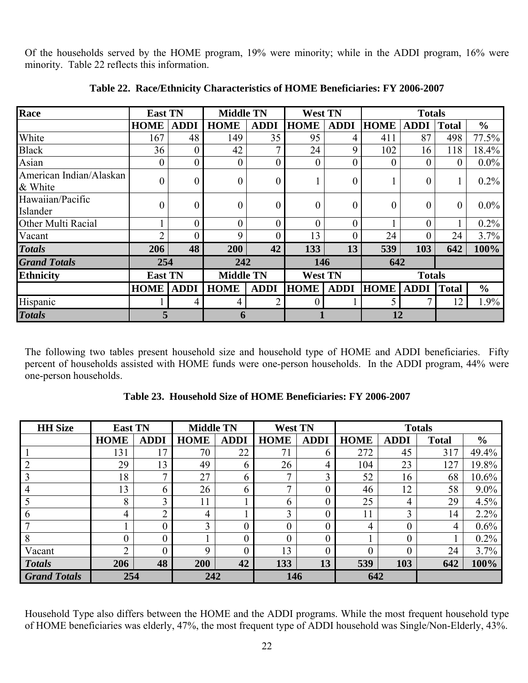Of the households served by the HOME program, 19% were minority; while in the ADDI program, 16% were minority. Table 22 reflects this information.

| Race                               | <b>East TN</b>   |                | <b>Middle TN</b> |                  | <b>West TN</b>   |                | <b>Totals</b>  |                |                  |               |
|------------------------------------|------------------|----------------|------------------|------------------|------------------|----------------|----------------|----------------|------------------|---------------|
|                                    | <b>HOME</b>      | <b>ADDI</b>    | <b>HOME</b>      | <b>ADDI</b>      | <b>HOME</b>      | <b>ADDI</b>    | <b>HOME</b>    | <b>ADDI</b>    | <b>Total</b>     | $\frac{6}{6}$ |
| White                              | 167              | 48             | 149              | 35               | 95               | 4              | 411            | 87             | 498              | 77.5%         |
| <b>Black</b>                       | 36               | $\theta$       | 42               | 7                | 24               | 9              | 102            | 16             | 118              | 18.4%         |
| Asian                              | $\boldsymbol{0}$ | $\overline{0}$ | $\boldsymbol{0}$ | $\boldsymbol{0}$ | $\boldsymbol{0}$ | $\overline{0}$ | $\overline{0}$ | $\overline{0}$ | $\boldsymbol{0}$ | $0.0\%$       |
| American Indian/Alaskan<br>& White | $\overline{0}$   | $\theta$       | $\overline{0}$   | $\overline{0}$   |                  | $\theta$       |                | $\theta$       |                  | $0.2\%$       |
| Hawaiian/Pacific<br>Islander       | $\boldsymbol{0}$ | $\overline{0}$ | $\overline{0}$   | $\boldsymbol{0}$ | $\boldsymbol{0}$ | $\theta$       | $\overline{0}$ | 0              | $\overline{0}$   | $0.0\%$       |
| Other Multi Racial                 |                  |                | $\overline{0}$   | $\boldsymbol{0}$ | $\overline{0}$   |                |                | 0              |                  | 0.2%          |
| Vacant                             | $\overline{2}$   | $\theta$       | 9                | $\overline{0}$   | 13               | 0              | 24             | 0              | 24               | 3.7%          |
| <b>Totals</b>                      | 206              | 48             | 200              | 42               | 133              | 13             | 539            | 103            | 642              | 100%          |
| <b>Grand Totals</b>                | 254              |                | 242              |                  | 146              |                | 642            |                |                  |               |
| <b>Ethnicity</b>                   | <b>East TN</b>   |                | <b>Middle TN</b> |                  |                  | <b>West TN</b> |                | <b>Totals</b>  |                  |               |
|                                    | <b>HOME</b>      | <b>ADDI</b>    | <b>HOME</b>      | <b>ADDI</b>      | <b>HOME</b>      | <b>ADDI</b>    | <b>HOME</b>    | <b>ADDI</b>    | Total            | $\frac{6}{6}$ |
| Hispanic                           |                  | 4              | 4                | 2                | 0                |                | 5              | 7              | 12               | 1.9%          |
| <b>Totals</b>                      | 5                |                | 6                |                  |                  |                | 12             |                |                  |               |

**Table 22. Race/Ethnicity Characteristics of HOME Beneficiaries: FY 2006-2007** 

The following two tables present household size and household type of HOME and ADDI beneficiaries. Fifty percent of households assisted with HOME funds were one-person households. In the ADDI program, 44% were one-person households.

| <b>HH</b> Size      | <b>East TN</b> |              | <b>Middle TN</b> |             | <b>West TN</b> |             | <b>Totals</b> |                  |              |               |  |  |
|---------------------|----------------|--------------|------------------|-------------|----------------|-------------|---------------|------------------|--------------|---------------|--|--|
|                     | <b>HOME</b>    | <b>ADDI</b>  | <b>HOME</b>      | <b>ADDI</b> | <b>HOME</b>    | <b>ADDI</b> | <b>HOME</b>   | <b>ADDI</b>      | <b>Total</b> | $\frac{6}{6}$ |  |  |
|                     | 131            | 17           | 70               | 22          | 71             | O           | 272           | 45               | 317          | 49.4%         |  |  |
|                     | 29             | 13           | 49               | b           | 26             | 4           | 104           | 23               | 127          | 19.8%         |  |  |
|                     | 18             | $\mathbf{z}$ | 27               | 6           | ⇁              | ↑           | 52            | 16               | 68           | $10.6\%$      |  |  |
|                     | 13             | 6            | 26               | h.          | ⇁              |             | 46            | 12               | 58           | $9.0\%$       |  |  |
|                     | 8              | 3            | 11               |             | <sub>b</sub>   |             | 25            | 4                | 29           | 4.5%          |  |  |
| 6                   | 4              | ↑            | 4                |             | $\mathbf 3$    |             | 11            | 3                | 14           | $2.2\%$       |  |  |
|                     |                | $\theta$     | 3                |             | 0              | 0           | 4             | $\boldsymbol{0}$ | 4            | $0.6\%$       |  |  |
| -8                  | $\theta$       | $\theta$     |                  |             |                |             |               | $\boldsymbol{0}$ |              | $0.2\%$       |  |  |
| Vacant              | ◠              | $\Omega$     | Q                |             | 13             |             | $\theta$      | $\overline{0}$   | 24           | 3.7%          |  |  |
| <b>Totals</b>       | 206            | 48           | 200              | 42          | 133            | 13          | 539           | 103              | 642          | 100%          |  |  |
| <b>Grand Totals</b> | 254            |              | 242              |             | 146            |             | 642           |                  |              |               |  |  |

Household Type also differs between the HOME and the ADDI programs. While the most frequent household type of HOME beneficiaries was elderly, 47%, the most frequent type of ADDI household was Single/Non-Elderly, 43%.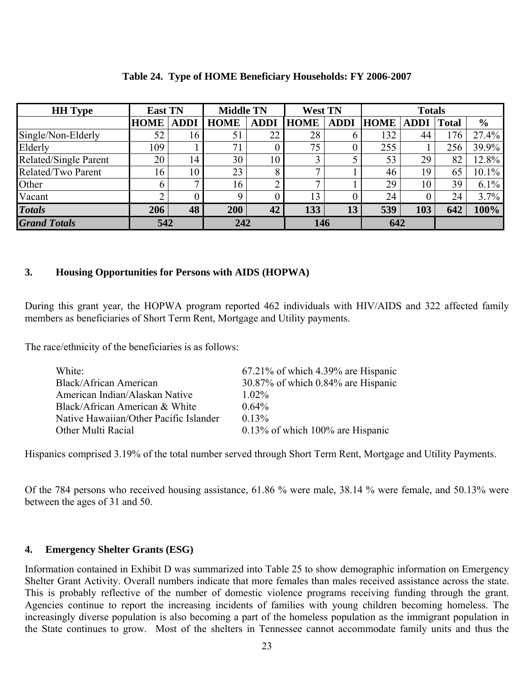| <b>HH</b> Type        | <b>East TN</b> |             | <b>Middle TN</b> |             | <b>West TN</b> |             | <b>Totals</b> |             |              |               |  |
|-----------------------|----------------|-------------|------------------|-------------|----------------|-------------|---------------|-------------|--------------|---------------|--|
|                       | <b>HOME</b>    | <b>ADDI</b> | <b>HOME</b>      | <b>ADDI</b> | <b>HOME</b>    | <b>ADDI</b> | <b>HOME</b>   | <b>ADDI</b> | <b>Total</b> | $\frac{6}{6}$ |  |
| Single/Non-Elderly    | 52             | 16          | 51               | 22          | 28             |             | 132           | 44          | 176          | 27.4%         |  |
| Elderly               | 109            |             | 71               |             | 75             |             | 255           |             | 256          | 39.9%         |  |
| Related/Single Parent | 20             | 14          | 30               | 10          | 3              |             | 53            | 29          | 82           | 12.8%         |  |
| Related/Two Parent    | 16             | 10          | 23               |             | 7              |             | 46            | 19          | 65           | $10.1\%$      |  |
| Other                 | <sub>b</sub>   |             | 16               |             | ⇁              |             | 29            | 10          | 39           | $6.1\%$       |  |
| Vacant                | ⌒              |             | Q                |             | 13             |             | 24            |             | 24           | 3.7%          |  |
| <b>Totals</b>         | 206            | 48          | 200              | 42          | 133            | 13          | 539           | 103         | 642          | 100%          |  |
| <b>Grand Totals</b>   | 542            |             | 242              |             | 146            |             | 642           |             |              |               |  |

#### **Table 24. Type of HOME Beneficiary Households: FY 2006-2007**

# **3. Housing Opportunities for Persons with AIDS (HOPWA)**

During this grant year, the HOPWA program reported 462 individuals with HIV/AIDS and 322 affected family members as beneficiaries of Short Term Rent, Mortgage and Utility payments.

The race/ethnicity of the beneficiaries is as follows:

| $67.21\%$ of which 4.39% are Hispanic |
|---------------------------------------|
| 30.87% of which 0.84% are Hispanic    |
| $1.02\%$                              |
| $0.64\%$                              |
| $0.13\%$                              |
| $0.13\%$ of which 100% are Hispanic   |
|                                       |

Hispanics comprised 3.19% of the total number served through Short Term Rent, Mortgage and Utility Payments.

Of the 784 persons who received housing assistance, 61.86 % were male, 38.14 % were female, and 50.13% were between the ages of 31 and 50.

#### **4. Emergency Shelter Grants (ESG)**

Information contained in Exhibit D was summarized into Table 25 to show demographic information on Emergency Shelter Grant Activity. Overall numbers indicate that more females than males received assistance across the state. This is probably reflective of the number of domestic violence programs receiving funding through the grant. Agencies continue to report the increasing incidents of families with young children becoming homeless. The increasingly diverse population is also becoming a part of the homeless population as the immigrant population in the State continues to grow. Most of the shelters in Tennessee cannot accommodate family units and thus the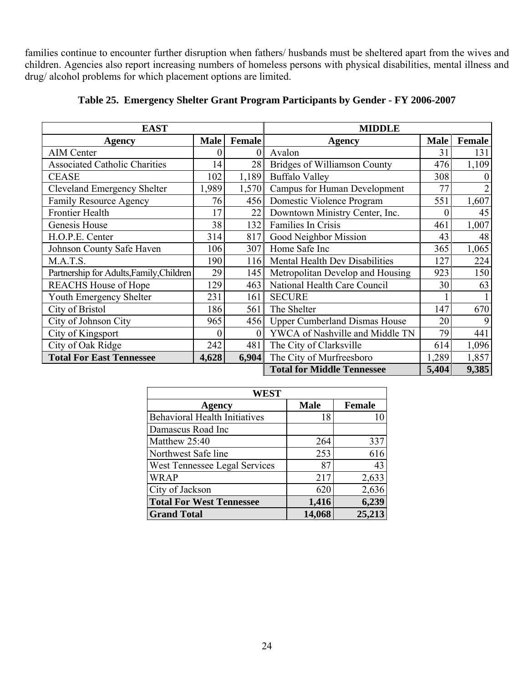families continue to encounter further disruption when fathers/ husbands must be sheltered apart from the wives and children. Agencies also report increasing numbers of homeless persons with physical disabilities, mental illness and drug/ alcohol problems for which placement options are limited.

| <b>EAST</b>                              |             |               | <b>MIDDLE</b>                        |             |               |
|------------------------------------------|-------------|---------------|--------------------------------------|-------------|---------------|
| <b>Agency</b>                            | <b>Male</b> | <b>Female</b> | Agency                               | <b>Male</b> | <b>Female</b> |
| <b>AIM Center</b>                        |             |               | Avalon                               | 31          | 131           |
| <b>Associated Catholic Charities</b>     | 14          | 28            | Bridges of Williamson County         | 476         | 1,109         |
| <b>CEASE</b>                             | 102         | 1,189         | <b>Buffalo Valley</b>                | 308         |               |
| <b>Cleveland Emergency Shelter</b>       | 1,989       | 1,570         | <b>Campus for Human Development</b>  | 77          |               |
| <b>Family Resource Agency</b>            | 76          | 456           | Domestic Violence Program            | 551         | 1,607         |
| <b>Frontier Health</b>                   | 17          | 22            | Downtown Ministry Center, Inc.       |             | 45            |
| Genesis House                            | 38          | 132           | Families In Crisis                   | 461         | 1,007         |
| H.O.P.E. Center                          | 314         | 817           | Good Neighbor Mission                | 43          | 48            |
| Johnson County Safe Haven                | 106         | 307           | Home Safe Inc                        | 365         | 1,065         |
| M.A.T.S.                                 | 190         | 116           | Mental Health Dev Disabilities       | 127         | 224           |
| Partnership for Adults, Family, Children | 29          | 145           | Metropolitan Develop and Housing     | 923         | 150           |
| <b>REACHS House of Hope</b>              | 129         | 463           | National Health Care Council         | 30          | 63            |
| Youth Emergency Shelter                  | 231         | 161           | <b>SECURE</b>                        |             |               |
| City of Bristol                          | 186         | 561           | The Shelter                          | 147         | 670           |
| City of Johnson City                     | 965         | 456           | <b>Upper Cumberland Dismas House</b> | 20          |               |
| City of Kingsport                        | $\theta$    | $\theta$      | YWCA of Nashville and Middle TN      | 79          | 441           |
| City of Oak Ridge                        | 242         | 481           | The City of Clarksville              | 614         | 1,096         |
| <b>Total For East Tennessee</b>          | 4,628       | 6,904         | The City of Murfreesboro             | 1,289       | 1,857         |
|                                          |             |               | <b>Total for Middle Tennessee</b>    | 5,404       | 9,385         |

# **Table 25. Emergency Shelter Grant Program Participants by Gender - FY 2006-2007**

| WEST                                 |             |               |
|--------------------------------------|-------------|---------------|
| Agency                               | <b>Male</b> | <b>Female</b> |
| <b>Behavioral Health Initiatives</b> | 18          |               |
| Damascus Road Inc                    |             |               |
| Matthew 25:40                        | 264         | 337           |
| Northwest Safe line                  | 253         | 616           |
| West Tennessee Legal Services        | 87          | 43            |
| <b>WRAP</b>                          | 217         | 2,633         |
| City of Jackson                      | 620         | 2,636         |
| <b>Total For West Tennessee</b>      | 1,416       | 6,239         |
| <b>Grand Total</b>                   | 14,068      | 25,213        |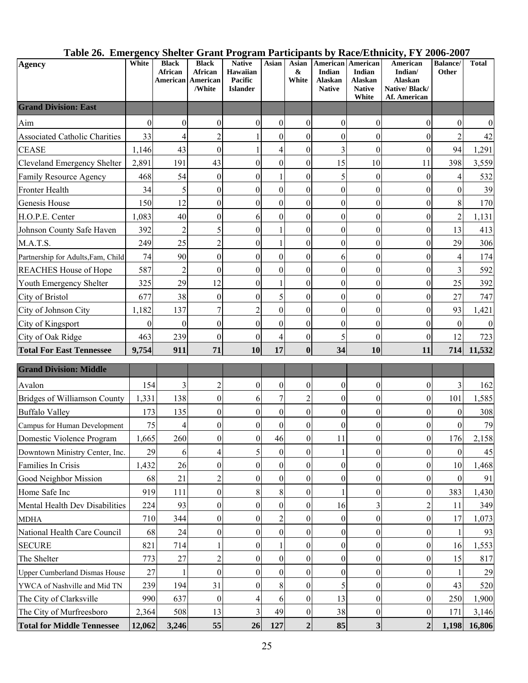| Table 26. Emergency Shelter Grant Program Participants by Race/Ethnicity, FY 2006-2007 |  |  |
|----------------------------------------------------------------------------------------|--|--|
|                                                                                        |  |  |

| Agency                               | White    | <b>Black</b><br>African<br>American | <b>Black</b><br>African<br>American<br>/White | <b>Native</b><br><b>Hawaiian</b><br>Pacific<br><b>Islander</b> | Asian            | Asian<br>&<br>White | American<br><b>Indian</b><br><b>Alaskan</b><br><b>Native</b> | American<br>Indian<br>Alaskan<br><b>Native</b><br>White | American<br>Indian/<br>Alaskan<br>Native/Black/<br>Af. American | <b>Balance/</b><br><b>Other</b> | <b>Total</b>     |
|--------------------------------------|----------|-------------------------------------|-----------------------------------------------|----------------------------------------------------------------|------------------|---------------------|--------------------------------------------------------------|---------------------------------------------------------|-----------------------------------------------------------------|---------------------------------|------------------|
| <b>Grand Division: East</b>          |          |                                     |                                               |                                                                |                  |                     |                                                              |                                                         |                                                                 |                                 |                  |
| Aim                                  | $\theta$ | $\theta$                            | $\theta$                                      | $\mathbf{0}$                                                   | $\boldsymbol{0}$ | $\boldsymbol{0}$    | $\theta$                                                     | $\theta$                                                | $\theta$                                                        | $\Omega$                        | $\boldsymbol{0}$ |
| <b>Associated Catholic Charities</b> | 33       | 4                                   | $\overline{c}$                                |                                                                | 0                | $\theta$            | $\theta$                                                     | $\boldsymbol{0}$                                        | $\mathbf{0}$                                                    |                                 | 42               |
| <b>CEASE</b>                         | 1,146    | 43                                  | $\theta$                                      |                                                                | 4                | $\boldsymbol{0}$    | $\overline{3}$                                               | $\boldsymbol{0}$                                        | $\mathbf{0}$                                                    | 94                              | 1,291            |
| <b>Cleveland Emergency Shelter</b>   | 2,891    | 191                                 | 43                                            | $\mathbf{0}$                                                   | $\boldsymbol{0}$ | $\boldsymbol{0}$    | 15                                                           | 10                                                      | 11                                                              | 398                             | 3,559            |
| Family Resource Agency               | 468      | 54                                  | $\mathbf{0}$                                  | $\overline{0}$                                                 |                  | $\theta$            | 5                                                            | $\boldsymbol{0}$                                        | $\boldsymbol{0}$                                                | 4                               | 532              |
| Fronter Health                       | 34       | 5                                   | $\mathbf{0}$                                  | $\boldsymbol{0}$                                               | $\boldsymbol{0}$ | $\boldsymbol{0}$    | $\boldsymbol{0}$                                             | $\boldsymbol{0}$                                        | $\boldsymbol{0}$                                                | $\theta$                        | 39               |
| Genesis House                        | 150      | 12                                  | $\overline{0}$                                | $\boldsymbol{0}$                                               | $\boldsymbol{0}$ | $\boldsymbol{0}$    | $\theta$                                                     | $\boldsymbol{0}$                                        | $\boldsymbol{0}$                                                | 8                               | 170              |
| H.O.P.E. Center                      | 1,083    | 40                                  | $\overline{0}$                                | 6                                                              | $\theta$         | $\theta$            | $\boldsymbol{0}$                                             | $\boldsymbol{0}$                                        | $\boldsymbol{0}$                                                | $\overline{2}$                  | 1,131            |
| Johnson County Safe Haven            | 392      | 2                                   | 5                                             | $\mathbf{0}$                                                   |                  | $\mathbf{0}$        | 0                                                            | $\boldsymbol{0}$                                        | $\boldsymbol{0}$                                                | 13                              | 413              |
| M.A.T.S.                             | 249      | 25                                  | $\overline{2}$                                | $\boldsymbol{0}$                                               |                  | $\theta$            | $\theta$                                                     | $\boldsymbol{0}$                                        | $\boldsymbol{0}$                                                | 29                              | 306              |
| Partnership for Adults, Fam, Child   | 74       | 90                                  | $\boldsymbol{0}$                              | $\boldsymbol{0}$                                               | $\theta$         | $\theta$            | 6                                                            | $\boldsymbol{0}$                                        | $\boldsymbol{0}$                                                | 4                               | 174              |
| <b>REACHES House of Hope</b>         | 587      | $\overline{2}$                      | $\boldsymbol{0}$                              | $\overline{0}$                                                 | $\boldsymbol{0}$ | $\boldsymbol{0}$    | $\boldsymbol{0}$                                             | $\boldsymbol{0}$                                        | $\boldsymbol{0}$                                                | 3                               | 592              |
| Youth Emergency Shelter              | 325      | 29                                  | 12                                            | $\boldsymbol{0}$                                               |                  | $\boldsymbol{0}$    | $\boldsymbol{0}$                                             | $\boldsymbol{0}$                                        | $\overline{0}$                                                  | 25                              | 392              |
| City of Bristol                      | 677      | 38                                  | $\theta$                                      | $\mathbf{0}$                                                   | 5                | $\boldsymbol{0}$    | 0                                                            | $\boldsymbol{0}$                                        | $\boldsymbol{0}$                                                | 27                              | 747              |
| City of Johnson City                 | 1,182    | 137                                 | 7                                             | $\overline{2}$                                                 | $\boldsymbol{0}$ | $\boldsymbol{0}$    | $\boldsymbol{0}$                                             | $\boldsymbol{0}$                                        | $\overline{0}$                                                  | 93                              | 1,421            |
| City of Kingsport                    | $\Omega$ | $\theta$                            | $\overline{0}$                                | $\boldsymbol{0}$                                               | $\boldsymbol{0}$ | $\theta$            | 0                                                            | $\boldsymbol{0}$                                        | $\boldsymbol{0}$                                                | $\Omega$                        | $\boldsymbol{0}$ |
| City of Oak Ridge                    | 463      | 239                                 | $\boldsymbol{0}$                              | $\theta$                                                       | 4                | $\boldsymbol{0}$    | 5                                                            | $\boldsymbol{0}$                                        | $\boldsymbol{0}$                                                | 12                              | 723              |
| <b>Total For East Tennessee</b>      | 9,754    | 911                                 | 71                                            | 10                                                             | 17               | $\bf{0}$            | 34                                                           | 10                                                      | 11                                                              | 714                             | 11,532           |
| <b>Grand Division: Middle</b>        |          |                                     |                                               |                                                                |                  |                     |                                                              |                                                         |                                                                 |                                 |                  |
| Avalon                               | 154      | 3                                   | $\overline{2}$                                | $\mathbf{0}$                                                   | 0                | $\overline{0}$      | 0                                                            | $\boldsymbol{0}$                                        | $\boldsymbol{0}$                                                | 3                               | 162              |
| Bridges of Williamson County         | 1,331    | 138                                 | $\theta$                                      | 6                                                              | 7                | $\overline{c}$      | $\overline{0}$                                               | $\boldsymbol{0}$                                        | $\boldsymbol{0}$                                                | 101                             | 1,585            |
| <b>Buffalo Valley</b>                | 173      | 135                                 | $\boldsymbol{0}$                              | $\boldsymbol{0}$                                               | $\boldsymbol{0}$ | $\boldsymbol{0}$    | $\boldsymbol{0}$                                             | $\boldsymbol{0}$                                        | $\boldsymbol{0}$                                                | $\theta$                        | 308              |
| Campus for Human Development         | 75       | 4                                   | $\boldsymbol{0}$                              | $\boldsymbol{0}$                                               | $\boldsymbol{0}$ | $\boldsymbol{0}$    | $\overline{0}$                                               | $\boldsymbol{0}$                                        | $\boldsymbol{0}$                                                | $\theta$                        | 79               |
| Domestic Violence Program            | 1,665    | 260                                 | $\theta$                                      | $\overline{0}$                                                 | 46               | $\boldsymbol{0}$    | 11                                                           | $\boldsymbol{0}$                                        | $\mathbf{0}$                                                    | 176                             | 2,158            |
| Downtown Ministry Center, Inc.       | 29       | 6                                   | 4                                             | 5                                                              | $\boldsymbol{0}$ | $\boldsymbol{0}$    |                                                              | $\boldsymbol{0}$                                        | $\boldsymbol{0}$                                                | $\boldsymbol{0}$                | 45               |
| Families In Crisis                   | 1,432    | 26                                  | $\boldsymbol{0}$                              | $\overline{0}$                                                 | $\theta$         | $\overline{0}$      | $\overline{0}$                                               | $\mathbf{0}$                                            | $\boldsymbol{0}$                                                | 10                              | 1,468            |
| Good Neighbor Mission                | 68       | 21                                  | $\overline{2}$                                | $\theta$                                                       | 0                | $\overline{0}$      | $\theta$                                                     | $\boldsymbol{0}$                                        | $\boldsymbol{0}$                                                | $\theta$                        | 91               |
| Home Safe Inc                        | 919      | 111                                 | $\theta$                                      | 8                                                              | 8                | $\overline{0}$      |                                                              | $\boldsymbol{0}$                                        | $\vert 0 \vert$                                                 | 383                             | 1,430            |
| Mental Health Dev Disabilities       | 224      | 93                                  | $\boldsymbol{0}$                              | $\mathbf{0}$                                                   | $\overline{0}$   | 0                   | 16                                                           | 3                                                       | $\overline{c}$                                                  | 11                              | 349              |
| <b>MDHA</b>                          | 710      | 344                                 | $\boldsymbol{0}$                              | $\mathbf{0}$                                                   |                  | $\overline{0}$      | 0                                                            | $\boldsymbol{0}$                                        | $\boldsymbol{0}$                                                | 17                              | 1,073            |
| National Health Care Council         | 68       | 24                                  | $\boldsymbol{0}$                              | $\overline{0}$                                                 | $\overline{0}$   | $\overline{0}$      | $\boldsymbol{0}$                                             | $\theta$                                                | $\boldsymbol{0}$                                                | 1                               | 93               |
| <b>SECURE</b>                        | 821      | 714                                 |                                               | $\overline{0}$                                                 |                  | 0                   | 0                                                            | $\boldsymbol{0}$                                        | $\boldsymbol{0}$                                                | 16                              | 1,553            |
| The Shelter                          | 773      | 27                                  | $\overline{2}$                                | $\Omega$                                                       | $\theta$         | $\theta$            | $\overline{0}$                                               | $\mathbf{0}$                                            | $\boldsymbol{0}$                                                | 15                              | 817              |
| <b>Upper Cumberland Dismas House</b> | 27       |                                     | $\overline{0}$                                | $\overline{0}$                                                 | $\theta$         | $\theta$            | $\boldsymbol{0}$                                             | $\mathbf{0}$                                            | $\boldsymbol{0}$                                                |                                 | 29               |
| YWCA of Nashville and Mid TN         | 239      | 194                                 | 31                                            | $\overline{0}$                                                 | 8                | $\overline{0}$      | 5                                                            | $\boldsymbol{0}$                                        | $\boldsymbol{0}$                                                | 43                              | 520              |
| The City of Clarksville              | 990      | 637                                 | $\theta$                                      | 4                                                              | 6                | $\overline{0}$      | 13                                                           | $\boldsymbol{0}$                                        | $\boldsymbol{0}$                                                | 250                             | 1,900            |
| The City of Murfreesboro             | 2,364    | 508                                 | 13                                            | 3                                                              | 49               | $\boldsymbol{0}$    | 38                                                           | 0                                                       | $\boldsymbol{0}$                                                | 171                             | 3,146            |
| <b>Total for Middle Tennessee</b>    | 12,062   | 3,246                               | 55                                            | 26                                                             | 127              | $\overline{2}$      | 85                                                           | $\mathbf{3}$                                            | $\boldsymbol{2}$                                                | 1,198                           | 16,806           |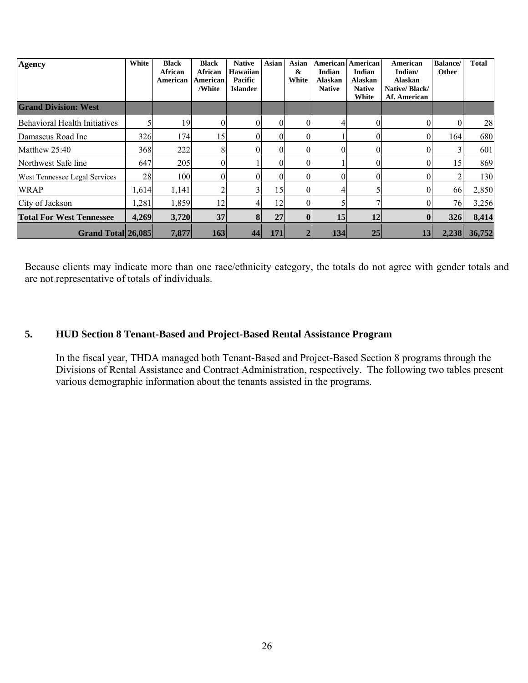| Agency                               | White | <b>Black</b><br>African<br>American | <b>Black</b><br>African<br>American<br>/White | <b>Native</b><br><b>Hawaiian</b><br>Pacific<br><b>Islander</b> | Asian | Asian<br>&<br>White | American<br>Indian<br><b>Alaskan</b><br><b>Native</b> | American<br>Indian<br>Alaskan<br><b>Native</b><br>White | American<br>Indian/<br><b>Alaskan</b><br>Native/Black/<br>Af. American | <b>Balance</b> /<br>Other | <b>Total</b> |
|--------------------------------------|-------|-------------------------------------|-----------------------------------------------|----------------------------------------------------------------|-------|---------------------|-------------------------------------------------------|---------------------------------------------------------|------------------------------------------------------------------------|---------------------------|--------------|
| <b>Grand Division: West</b>          |       |                                     |                                               |                                                                |       |                     |                                                       |                                                         |                                                                        |                           |              |
| Behavioral Health Initiatives        |       | 19                                  | $\theta$                                      |                                                                |       | $\Omega$            |                                                       | $\theta$                                                | $\theta$                                                               | $\theta$                  | 28           |
| Damascus Road Inc                    | 326   | 174                                 | 15                                            |                                                                | 0     | $\theta$            |                                                       | $\Omega$                                                | $\overline{0}$                                                         | 164                       | 680          |
| Matthew 25:40                        | 368   | 222                                 | 8                                             |                                                                | 0     | $\theta$            |                                                       | $\theta$                                                | $\theta$                                                               |                           | 601          |
| Northwest Safe line                  | 647   | 205                                 |                                               |                                                                |       |                     |                                                       | $\theta$                                                | $\theta$                                                               | 15                        | 869          |
| <b>West Tennessee Legal Services</b> | 28    | 100                                 | 0                                             |                                                                |       | $\Omega$            |                                                       | $\Omega$                                                | $\theta$                                                               |                           | 130          |
| <b>WRAP</b>                          | 1,614 | 1,141                               | 2                                             |                                                                | 15    | $\theta$            |                                                       |                                                         | $\Omega$                                                               | 66                        | 2,850        |
| City of Jackson                      | 1,281 | 1,859                               | 12                                            |                                                                | 12    | $\Omega$            |                                                       |                                                         | $\theta$                                                               | 76                        | 3,256        |
| <b>Total For West Tennessee</b>      | 4,269 | 3,720                               | 37                                            | 8                                                              | 27    | $\boldsymbol{0}$    | 15                                                    | 12                                                      | $\bf{0}$                                                               | 326                       | 8,414        |
| Grand Total 26,085                   |       | 7,877                               | 163                                           | 44                                                             | 171   |                     | 134                                                   | 25                                                      | 13                                                                     | 2,238                     | 36,752       |

Because clients may indicate more than one race/ethnicity category, the totals do not agree with gender totals and are not representative of totals of individuals.

# **5. HUD Section 8 Tenant-Based and Project-Based Rental Assistance Program**

In the fiscal year, THDA managed both Tenant-Based and Project-Based Section 8 programs through the Divisions of Rental Assistance and Contract Administration, respectively. The following two tables present various demographic information about the tenants assisted in the programs.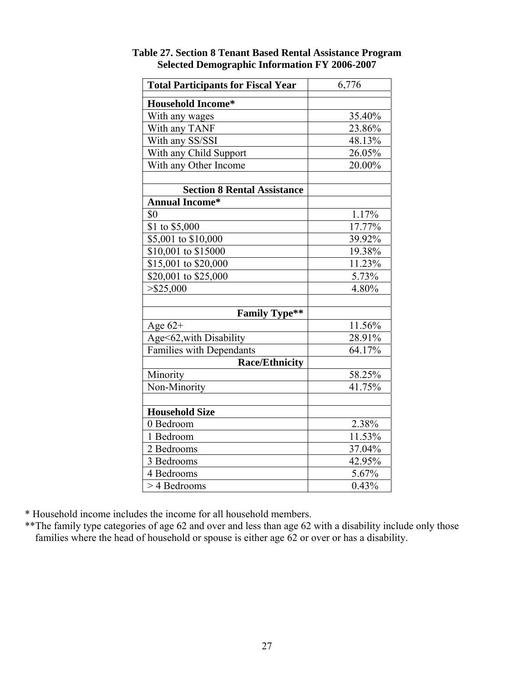| <b>Total Participants for Fiscal Year</b> | 6,776    |
|-------------------------------------------|----------|
| <b>Household Income*</b>                  |          |
| With any wages                            | 35.40%   |
| With any TANF                             | 23.86%   |
| With any SS/SSI                           | 48.13%   |
| With any Child Support                    | 26.05%   |
| With any Other Income                     | 20.00%   |
|                                           |          |
| <b>Section 8 Rental Assistance</b>        |          |
| <b>Annual Income*</b>                     |          |
| \$0                                       | $1.17\%$ |
| \$1 to \$5,000                            | 17.77%   |
| \$5,001 to \$10,000                       | 39.92%   |
| \$10,001 to \$15000                       | 19.38%   |
| \$15,001 to \$20,000                      | 11.23%   |
| \$20,001 to \$25,000                      | 5.73%    |
| $>$ \$25,000                              | 4.80%    |
|                                           |          |
| <b>Family Type**</b>                      |          |
| Age $62+$                                 | 11.56%   |
| Age<62, with Disability                   | 28.91%   |
| Families with Dependants                  | 64.17%   |
| <b>Race/Ethnicity</b>                     |          |
| Minority                                  | 58.25%   |
| Non-Minority                              | 41.75%   |
|                                           |          |
| <b>Household Size</b>                     |          |
| 0 Bedroom                                 | 2.38%    |
| 1 Bedroom                                 | 11.53%   |
| 2 Bedrooms                                | 37.04%   |
| 3 Bedrooms                                | 42.95%   |
| 4 Bedrooms                                | 5.67%    |
| > 4 Bedrooms                              | $0.43\%$ |

**Table 27. Section 8 Tenant Based Rental Assistance Program Selected Demographic Information FY 2006-2007** 

\* Household income includes the income for all household members.

\*\*The family type categories of age 62 and over and less than age 62 with a disability include only those families where the head of household or spouse is either age 62 or over or has a disability.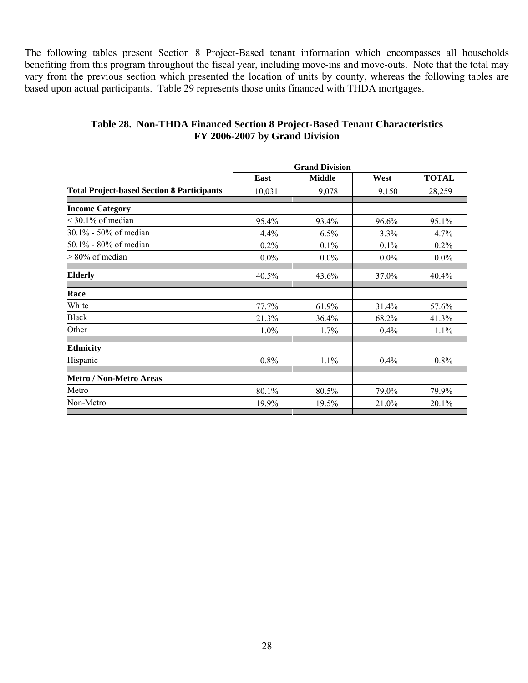The following tables present Section 8 Project-Based tenant information which encompasses all households benefiting from this program throughout the fiscal year, including move-ins and move-outs. Note that the total may vary from the previous section which presented the location of units by county, whereas the following tables are based upon actual participants. Table 29 represents those units financed with THDA mortgages.

|         | <b>Grand Division</b> |         |              |
|---------|-----------------------|---------|--------------|
| East    | <b>Middle</b>         | West    | <b>TOTAL</b> |
| 10,031  | 9,078                 | 9,150   | 28,259       |
|         |                       |         |              |
| 95.4%   | 93.4%                 | 96.6%   | 95.1%        |
| 4.4%    | 6.5%                  | 3.3%    | 4.7%         |
| 0.2%    | 0.1%                  | 0.1%    | 0.2%         |
| $0.0\%$ | $0.0\%$               | $0.0\%$ | $0.0\%$      |
| 40.5%   | 43.6%                 | 37.0%   | 40.4%        |
|         |                       |         |              |
| 77.7%   | 61.9%                 | 31.4%   | 57.6%        |
| 21.3%   | 36.4%                 | 68.2%   | 41.3%        |
| 1.0%    | 1.7%                  | 0.4%    | 1.1%         |
|         |                       |         |              |
| 0.8%    | 1.1%                  | 0.4%    | 0.8%         |
|         |                       |         |              |
| 80.1%   | 80.5%                 | 79.0%   | 79.9%        |
| 19.9%   | 19.5%                 | 21.0%   | 20.1%        |
|         |                       |         |              |

# **Table 28. Non-THDA Financed Section 8 Project-Based Tenant Characteristics FY 2006-2007 by Grand Division**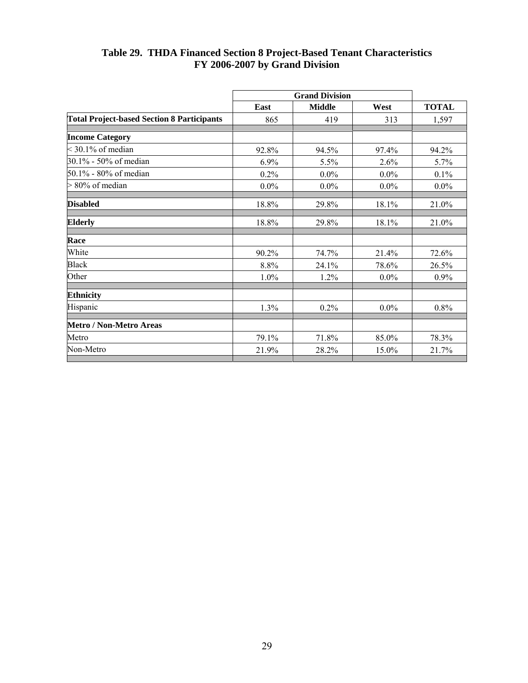|                                                   | East    | <b>Middle</b> | West    | <b>TOTAL</b> |
|---------------------------------------------------|---------|---------------|---------|--------------|
| <b>Total Project-based Section 8 Participants</b> | 865     | 419           | 313     | 1,597        |
| <b>Income Category</b>                            |         |               |         |              |
| $<$ 30.1% of median                               | 92.8%   | 94.5%         | 97.4%   | 94.2%        |
| 30.1% - 50% of median                             | 6.9%    | 5.5%          | 2.6%    | 5.7%         |
| 50.1% - 80% of median                             | 0.2%    | $0.0\%$       | $0.0\%$ | 0.1%         |
| 80% of median<br>⊳                                | $0.0\%$ | $0.0\%$       | $0.0\%$ | $0.0\%$      |
| <b>Disabled</b>                                   | 18.8%   | 29.8%         | 18.1%   | 21.0%        |
| <b>Elderly</b>                                    | 18.8%   | 29.8%         | 18.1%   | 21.0%        |
| Race                                              |         |               |         |              |
| White                                             | 90.2%   | 74.7%         | 21.4%   | 72.6%        |
| <b>Black</b>                                      | 8.8%    | 24.1%         | 78.6%   | 26.5%        |
| Other                                             | 1.0%    | 1.2%          | $0.0\%$ | 0.9%         |
| <b>Ethnicity</b>                                  |         |               |         |              |
| Hispanic                                          | 1.3%    | 0.2%          | $0.0\%$ | 0.8%         |
| Metro / Non-Metro Areas                           |         |               |         |              |
| Metro                                             | 79.1%   | 71.8%         | 85.0%   | 78.3%        |
| Non-Metro                                         | 21.9%   | 28.2%         | 15.0%   | 21.7%        |

#### **Table 29. THDA Financed Section 8 Project-Based Tenant Characteristics FY 2006-2007 by Grand Division**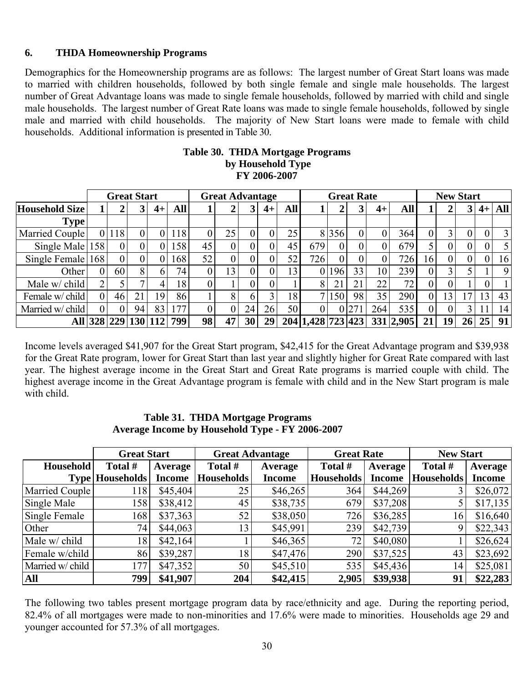# **6. THDA Homeownership Programs**

Demographics for the Homeownership programs are as follows: The largest number of Great Start loans was made to married with children households, followed by both single female and single male households. The largest number of Great Advantage loans was made to single female households, followed by married with child and single male households. The largest number of Great Rate loans was made to single female households, followed by single male and married with child households. The majority of New Start loans were made to female with child households. Additional information is presented in Table 30.

#### **Table 30. THDA Mortgage Programs by Household Type FY 2006-2007**

|                  |     | <b>Great Start</b> |                 |      |                 | <b>Great Advantage</b> |    |                |      | <b>Great Rate</b> |                   |         |                | <b>New Start</b> |           |    |    |    |      |                |
|------------------|-----|--------------------|-----------------|------|-----------------|------------------------|----|----------------|------|-------------------|-------------------|---------|----------------|------------------|-----------|----|----|----|------|----------------|
| Household Size   |     |                    | 3 <sup>1</sup>  | $4+$ | <b>All</b>      |                        |    | 3              | $4+$ | <b>All</b>        |                   |         | 3 <sup>1</sup> | $4+$             | All       |    |    |    | $4+$ | <b>All</b>     |
| <b>Type</b>      |     |                    |                 |      |                 |                        |    |                |      |                   |                   |         |                |                  |           |    |    |    |      |                |
| Married Couple   |     | 118                |                 |      | 118             |                        | 25 | 0              | 0    | 25                |                   | 8 3 5 6 | 0              |                  | 364       |    |    | 0  |      | $\overline{3}$ |
| Single Male 158  |     | 0                  |                 |      | 158             | 45                     | 0  | $\theta$       |      | 45                | 679               |         | 0              |                  | 679       |    |    |    |      | 5 <sup>1</sup> |
| Single Female    | 168 | 0                  |                 |      | 168             | 52                     | 0  | $\overline{0}$ |      | 52                | 726               |         |                |                  | 726       | 16 |    |    |      | 16             |
| Other            |     | 60                 | 8.              | 6    | 74 <sub>1</sub> |                        | 13 | $\overline{0}$ | 0    | 13                | $\overline{0}$    | 196     | 33             | 10               | 239       |    |    |    |      | 9              |
| Male w/ child    |     |                    |                 |      | 8               |                        |    | 0              | 0    |                   | 8                 | 21      | 21             | 22               | 72        |    |    |    |      |                |
| Female w/ child  | 0   | 46                 | 21              | 19   | 86              |                        | 8  | 6              | ◠    | 18                | 7 <sup>1</sup>    | 150     | 98             | 35               | 290       |    | 13 | .7 | 13   | 43             |
| Married w/ child |     | $\theta$           | 94              | 83   | 177             |                        |    | 24             | 26   | 50                | $\overline{0}$    |         | 0 27           | 264              | 535       | 0  | 0  |    |      | 14             |
| All              |     |                    | 328 229 130 112 |      | 799             | 98                     | 47 | 30             | 29   |                   | 204 1.428 723 423 |         |                |                  | 331 2,905 | 21 | 19 | 26 | 25   | 91             |

Income levels averaged \$41,907 for the Great Start program, \$42,415 for the Great Advantage program and \$39,938 for the Great Rate program, lower for Great Start than last year and slightly higher for Great Rate compared with last year. The highest average income in the Great Start and Great Rate programs is married couple with child. The highest average income in the Great Advantage program is female with child and in the New Start program is male with child.

#### **Table 31. THDA Mortgage Programs Average Income by Household Type - FY 2006-2007**

|                  | <b>Great Start</b>     |               | <b>Great Advantage</b> |               | <b>Great Rate</b> |               | <b>New Start</b>  |               |
|------------------|------------------------|---------------|------------------------|---------------|-------------------|---------------|-------------------|---------------|
| <b>Household</b> | Total #                | Average       | Total #                | Average       | Total #           | Average       | Total #           | Average       |
|                  | <b>Type Households</b> | <b>Income</b> | <b>Households</b>      | <b>Income</b> | <b>Households</b> | <b>Income</b> | <b>Households</b> | <b>Income</b> |
| Married Couple   | 118                    | \$45,404      | 25                     | \$46,265      | 364               | \$44,269      |                   | \$26,072      |
| Single Male      | 158                    | \$38,412      | 45                     | \$38,735      | 679               | \$37,208      |                   | \$17,135      |
| Single Female    | 168                    | \$37,363      | 52                     | \$38,050      | 726               | \$36,285      | 16                | \$16,640      |
| Other            | 74                     | \$44,063      | 13                     | \$45,991      | 239               | \$42,739      |                   | \$22,343      |
| Male w/ child    | 18                     | \$42,164      |                        | \$46,365      | 72                | \$40,080      |                   | \$26,624      |
| Female w/child   | 86                     | \$39,287      | 18                     | \$47,476      | 290               | \$37,525      | 43                | \$23,692      |
| Married w/ child | 177                    | \$47,352      | 50 <sup>1</sup>        | \$45,510      | 535               | \$45,436      | 14                | \$25,081      |
| <b>All</b>       | 799                    | \$41,907      | 204                    | \$42,415      | 2,905             | \$39,938      | 91                | \$22,283      |

The following two tables present mortgage program data by race/ethnicity and age. During the reporting period, 82.4% of all mortgages were made to non-minorities and 17.6% were made to minorities. Households age 29 and younger accounted for 57.3% of all mortgages.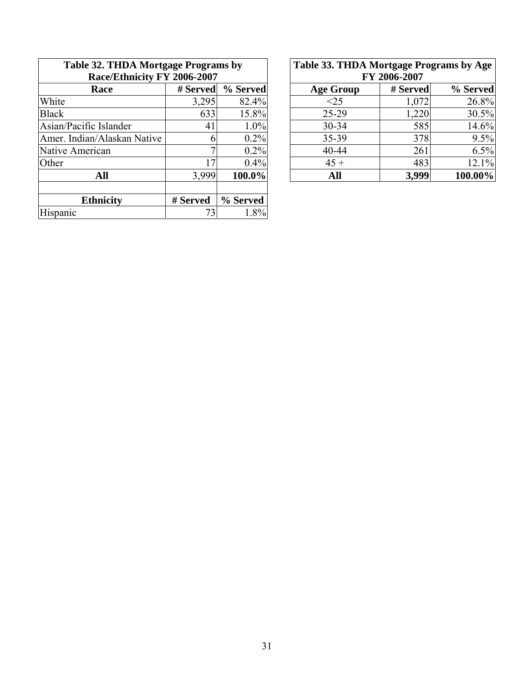| Table 32. THDA Mortgage Programs by<br>Race/Ethnicity FY 2006-2007 |          |          | Table 33. THDA Mortgage Programs by Age<br>FY 2006-2007 |          |          |  |
|--------------------------------------------------------------------|----------|----------|---------------------------------------------------------|----------|----------|--|
| Race                                                               | # Served | % Served | <b>Age Group</b>                                        | # Served | % Served |  |
| White                                                              | 3,295    | 82.4%    | <25                                                     | 1,072    | 26.8%    |  |
| <b>Black</b>                                                       | 633      | 15.8%    | $25-29$                                                 | 1,220    | 30.5%    |  |
| Asian/Pacific Islander                                             | 41       | 1.0%     | $30 - 34$                                               | 585      | 14.6%    |  |
| Amer. Indian/Alaskan Native                                        | n        | 0.2%     | $35 - 39$                                               | 378      | 9.5%     |  |
| Native American                                                    |          | 0.2%     | $40 - 44$                                               | 261      | 6.5%     |  |
| Other                                                              | 17       | $0.4\%$  | $45 +$                                                  | 483      | 12.1%    |  |
| All                                                                | 3,999    | 100.0%   | All                                                     | 3,999    | 100.00%  |  |
| <b>Ethnicity</b>                                                   | # Served | % Served |                                                         |          |          |  |
| Hispanic                                                           | 73       | 1.8%     |                                                         |          |          |  |

| 32. THDA Mortgage Programs by |                |          |  | Table 33. THDA Mortgage Programs by Age |          |          |  |
|-------------------------------|----------------|----------|--|-----------------------------------------|----------|----------|--|
| Race/Ethnicity FY 2006-2007   |                |          |  | FY 2006-2007                            |          |          |  |
| <b>Race</b>                   | # Served       | % Served |  | <b>Age Group</b>                        | # Served | % Served |  |
|                               | 3,295          | 82.4%    |  | $<$ 25                                  | 1,072    | 26.8%    |  |
|                               | 633            | 15.8%    |  | 25-29                                   | 1,220    | 30.5%    |  |
| c Islander                    | 41             | $1.0\%$  |  | $30 - 34$                               | 585      | 14.6%    |  |
| n/Alaskan Native              |                | 0.2%     |  | 35-39                                   | 378      | 9.5%     |  |
| rican                         |                | 0.2%     |  | 40-44                                   | 261      | 6.5%     |  |
|                               | $\overline{7}$ | 0.4%     |  | $45 +$                                  | 483      | 12.1%    |  |
| All                           | 3,999          | 100.0%   |  | All                                     | 3,999    | 100.00%  |  |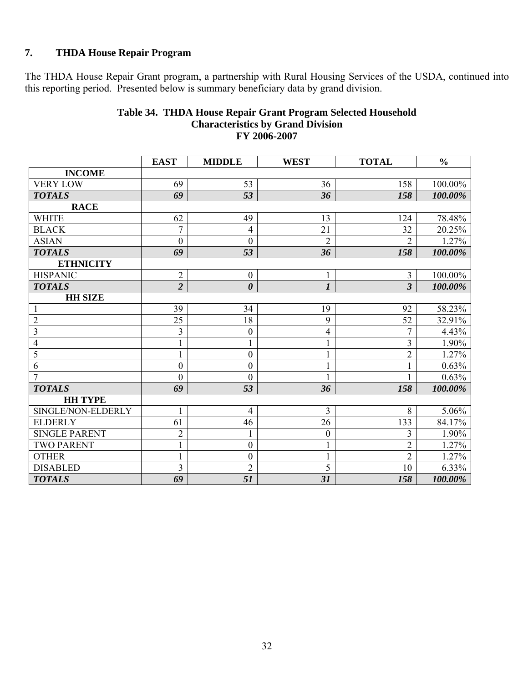# **7. THDA House Repair Program**

The THDA House Repair Grant program, a partnership with Rural Housing Services of the USDA, continued into this reporting period. Presented below is summary beneficiary data by grand division.

|                      | <b>EAST</b>      | <b>MIDDLE</b>         | <b>WEST</b>      | <b>TOTAL</b>   | $\frac{0}{0}$ |
|----------------------|------------------|-----------------------|------------------|----------------|---------------|
| <b>INCOME</b>        |                  |                       |                  |                |               |
| <b>VERY LOW</b>      | 69               | 53                    | 36               | 158            | 100.00%       |
| <b>TOTALS</b>        | 69               | 53                    | 36               | 158            | 100.00%       |
| <b>RACE</b>          |                  |                       |                  |                |               |
| <b>WHITE</b>         | 62               | 49                    | 13               | 124            | 78.48%        |
| <b>BLACK</b>         | $\overline{7}$   | $\overline{4}$        | 21               | 32             | 20.25%        |
| <b>ASIAN</b>         | $\boldsymbol{0}$ | $\boldsymbol{0}$      | $\overline{2}$   | $\overline{2}$ | 1.27%         |
| <b>TOTALS</b>        | 69               | 53                    | 36               | 158            | 100.00%       |
| <b>ETHNICITY</b>     |                  |                       |                  |                |               |
| <b>HISPANIC</b>      | $\mathbf{2}$     | $\boldsymbol{0}$      | $\mathbf{1}$     | $\overline{3}$ | 100.00%       |
| <b>TOTALS</b>        | $\overline{2}$   | $\boldsymbol{\theta}$ | $\boldsymbol{l}$ | $\overline{3}$ | 100.00%       |
| <b>HH SIZE</b>       |                  |                       |                  |                |               |
| $\mathbf{1}$         | 39               | 34                    | 19               | 92             | 58.23%        |
| $\overline{2}$       | 25               | 18                    | 9                | 52             | 32.91%        |
| $\overline{3}$       | $\overline{3}$   | $\mathbf{0}$          | 4                | $\overline{7}$ | 4.43%         |
| $\overline{4}$       |                  |                       | $\mathbf{1}$     | $\overline{3}$ | 1.90%         |
| $\overline{5}$       | $\mathbf{1}$     | $\boldsymbol{0}$      | $\mathbf{1}$     | $\overline{2}$ | 1.27%         |
| $\overline{6}$       | $\boldsymbol{0}$ | $\boldsymbol{0}$      | $\mathbf{1}$     | $\mathbf{1}$   | 0.63%         |
| $\overline{7}$       | $\theta$         | $\overline{0}$        |                  | 1              | 0.63%         |
| <b>TOTALS</b>        | 69               | 53                    | 36               | 158            | 100.00%       |
| <b>HH TYPE</b>       |                  |                       |                  |                |               |
| SINGLE/NON-ELDERLY   | 1                | $\overline{4}$        | 3                | 8              | 5.06%         |
| <b>ELDERLY</b>       | 61               | 46                    | 26               | 133            | 84.17%        |
| <b>SINGLE PARENT</b> | $\overline{2}$   | 1                     | $\boldsymbol{0}$ | 3              | 1.90%         |
| <b>TWO PARENT</b>    |                  | $\boldsymbol{0}$      | $\mathbf{1}$     | $\sqrt{2}$     | 1.27%         |
| <b>OTHER</b>         |                  | $\boldsymbol{0}$      | $\mathbf{1}$     | $\overline{2}$ | 1.27%         |
| <b>DISABLED</b>      | $\overline{3}$   | $\overline{2}$        | $\overline{5}$   | 10             | 6.33%         |
| <b>TOTALS</b>        | 69               | 51                    | 31               | 158            | 100.00%       |

#### **Table 34. THDA House Repair Grant Program Selected Household Characteristics by Grand Division FY 2006-2007**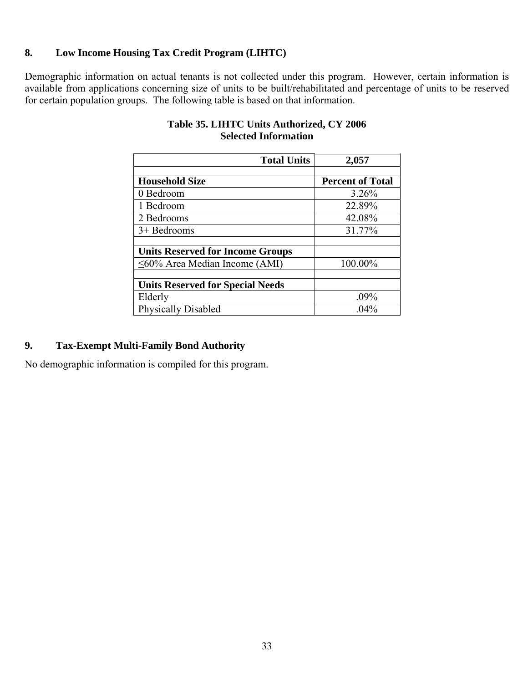# **8. Low Income Housing Tax Credit Program (LIHTC)**

Demographic information on actual tenants is not collected under this program. However, certain information is available from applications concerning size of units to be built/rehabilitated and percentage of units to be reserved for certain population groups. The following table is based on that information.

| <b>Total Units</b>                      | 2,057                   |
|-----------------------------------------|-------------------------|
|                                         |                         |
| <b>Household Size</b>                   | <b>Percent of Total</b> |
| 0 Bedroom                               | 3.26%                   |
| 1 Bedroom                               | 22.89%                  |
| 2 Bedrooms                              | 42.08%                  |
| $3+$ Bedrooms                           | 31.77%                  |
|                                         |                         |
| <b>Units Reserved for Income Groups</b> |                         |
| $\leq 60\%$ Area Median Income (AMI)    | 100.00%                 |
|                                         |                         |
| <b>Units Reserved for Special Needs</b> |                         |
| Elderly                                 | $.09\%$                 |
| <b>Physically Disabled</b>              | $.04\%$                 |

# **Table 35. LIHTC Units Authorized, CY 2006 Selected Information**

# **9. Tax-Exempt Multi-Family Bond Authority**

No demographic information is compiled for this program.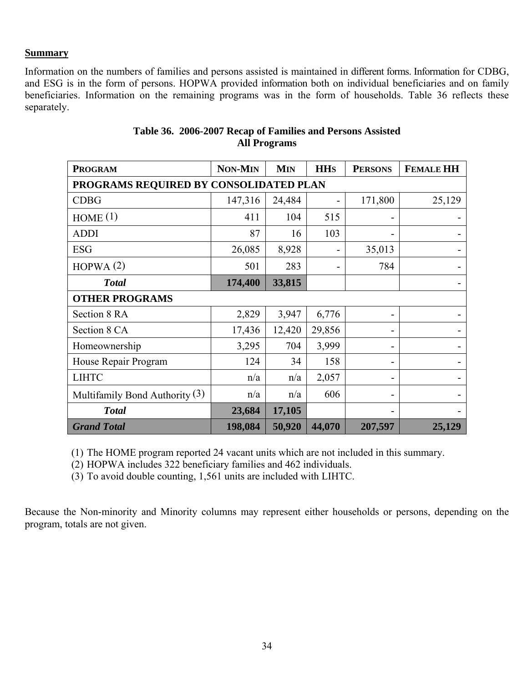#### **Summary**

Information on the numbers of families and persons assisted is maintained in different forms. Information for CDBG, and ESG is in the form of persons. HOPWA provided information both on individual beneficiaries and on family beneficiaries. Information on the remaining programs was in the form of households. Table 36 reflects these separately.

| <b>PROGRAM</b>                         | <b>NON-MIN</b> | <b>MIN</b> | <b>HH<sub>S</sub></b> | <b>PERSONS</b> | <b>FEMALE HH</b> |  |  |
|----------------------------------------|----------------|------------|-----------------------|----------------|------------------|--|--|
| PROGRAMS REQUIRED BY CONSOLIDATED PLAN |                |            |                       |                |                  |  |  |
| <b>CDBG</b>                            | 147,316        | 24,484     |                       | 171,800        | 25,129           |  |  |
| HOME(1)                                | 411            | 104        | 515                   |                |                  |  |  |
| <b>ADDI</b>                            | 87             | 16         | 103                   |                |                  |  |  |
| <b>ESG</b>                             | 26,085         | 8,928      |                       | 35,013         |                  |  |  |
| HOPWA(2)                               | 501            | 283        |                       | 784            |                  |  |  |
| <b>Total</b>                           | 174,400        | 33,815     |                       |                |                  |  |  |
| <b>OTHER PROGRAMS</b>                  |                |            |                       |                |                  |  |  |
| Section 8 RA                           | 2,829          | 3,947      | 6,776                 |                |                  |  |  |
| Section 8 CA                           | 17,436         | 12,420     | 29,856                | -              |                  |  |  |
| Homeownership                          | 3,295          | 704        | 3,999                 |                |                  |  |  |
| House Repair Program                   | 124            | 34         | 158                   |                |                  |  |  |
| <b>LIHTC</b>                           | n/a            | n/a        | 2,057                 |                |                  |  |  |
| Multifamily Bond Authority $(3)$       | n/a            | n/a        | 606                   |                |                  |  |  |
| <b>Total</b>                           | 23,684         | 17,105     |                       |                |                  |  |  |
| <b>Grand Total</b>                     | 198,084        | 50,920     | 44,070                | 207,597        | 25,129           |  |  |

# **Table 36. 2006-2007 Recap of Families and Persons Assisted All Programs**

(1) The HOME program reported 24 vacant units which are not included in this summary.

(2) HOPWA includes 322 beneficiary families and 462 individuals.

(3) To avoid double counting, 1,561 units are included with LIHTC.

Because the Non-minority and Minority columns may represent either households or persons, depending on the program, totals are not given.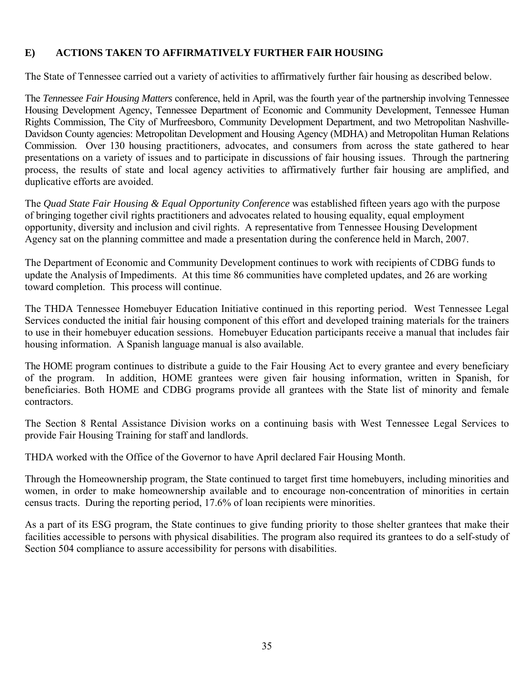# **E) ACTIONS TAKEN TO AFFIRMATIVELY FURTHER FAIR HOUSING**

The State of Tennessee carried out a variety of activities to affirmatively further fair housing as described below.

The *Tennessee Fair Housing Matters* conference, held in April, was the fourth year of the partnership involving Tennessee Housing Development Agency, Tennessee Department of Economic and Community Development, Tennessee Human Rights Commission, The City of Murfreesboro, Community Development Department, and two Metropolitan Nashville-Davidson County agencies: Metropolitan Development and Housing Agency (MDHA) and Metropolitan Human Relations Commission. Over 130 housing practitioners, advocates, and consumers from across the state gathered to hear presentations on a variety of issues and to participate in discussions of fair housing issues. Through the partnering process, the results of state and local agency activities to affirmatively further fair housing are amplified, and duplicative efforts are avoided.

The *Quad State Fair Housing & Equal Opportunity Conference* was established fifteen years ago with the purpose of bringing together civil rights practitioners and advocates related to housing equality, equal employment opportunity, diversity and inclusion and civil rights. A representative from Tennessee Housing Development Agency sat on the planning committee and made a presentation during the conference held in March, 2007.

The Department of Economic and Community Development continues to work with recipients of CDBG funds to update the Analysis of Impediments. At this time 86 communities have completed updates, and 26 are working toward completion. This process will continue.

The THDA Tennessee Homebuyer Education Initiative continued in this reporting period. West Tennessee Legal Services conducted the initial fair housing component of this effort and developed training materials for the trainers to use in their homebuyer education sessions. Homebuyer Education participants receive a manual that includes fair housing information. A Spanish language manual is also available.

The HOME program continues to distribute a guide to the Fair Housing Act to every grantee and every beneficiary of the program. In addition, HOME grantees were given fair housing information, written in Spanish, for beneficiaries. Both HOME and CDBG programs provide all grantees with the State list of minority and female contractors.

The Section 8 Rental Assistance Division works on a continuing basis with West Tennessee Legal Services to provide Fair Housing Training for staff and landlords.

THDA worked with the Office of the Governor to have April declared Fair Housing Month.

Through the Homeownership program, the State continued to target first time homebuyers, including minorities and women, in order to make homeownership available and to encourage non-concentration of minorities in certain census tracts. During the reporting period, 17.6% of loan recipients were minorities.

As a part of its ESG program, the State continues to give funding priority to those shelter grantees that make their facilities accessible to persons with physical disabilities. The program also required its grantees to do a self-study of Section 504 compliance to assure accessibility for persons with disabilities.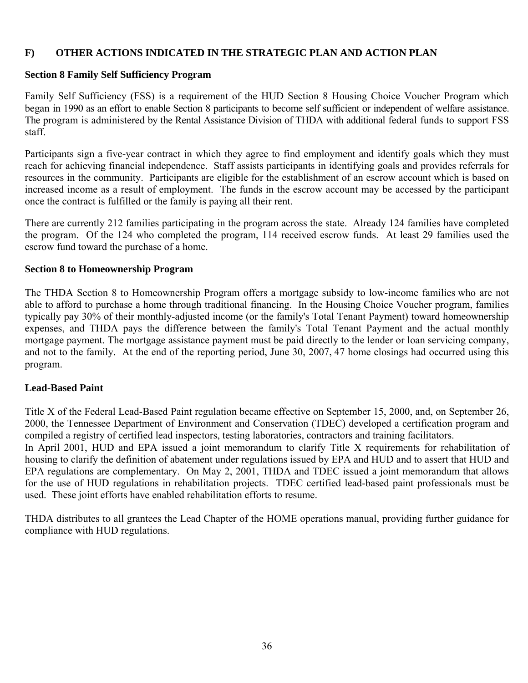#### **F) OTHER ACTIONS INDICATED IN THE STRATEGIC PLAN AND ACTION PLAN**

#### **Section 8 Family Self Sufficiency Program**

Family Self Sufficiency (FSS) is a requirement of the HUD Section 8 Housing Choice Voucher Program which began in 1990 as an effort to enable Section 8 participants to become self sufficient or independent of welfare assistance. The program is administered by the Rental Assistance Division of THDA with additional federal funds to support FSS staff.

Participants sign a five-year contract in which they agree to find employment and identify goals which they must reach for achieving financial independence. Staff assists participants in identifying goals and provides referrals for resources in the community. Participants are eligible for the establishment of an escrow account which is based on increased income as a result of employment. The funds in the escrow account may be accessed by the participant once the contract is fulfilled or the family is paying all their rent.

There are currently 212 families participating in the program across the state. Already 124 families have completed the program. Of the 124 who completed the program, 114 received escrow funds. At least 29 families used the escrow fund toward the purchase of a home.

#### **Section 8 to Homeownership Program**

The THDA Section 8 to Homeownership Program offers a mortgage subsidy to low-income families who are not able to afford to purchase a home through traditional financing. In the Housing Choice Voucher program, families typically pay 30% of their monthly-adjusted income (or the family's Total Tenant Payment) toward homeownership expenses, and THDA pays the difference between the family's Total Tenant Payment and the actual monthly mortgage payment. The mortgage assistance payment must be paid directly to the lender or loan servicing company, and not to the family. At the end of the reporting period, June 30, 2007, 47 home closings had occurred using this program.

#### **Lead-Based Paint**

Title X of the Federal Lead-Based Paint regulation became effective on September 15, 2000, and, on September 26, 2000, the Tennessee Department of Environment and Conservation (TDEC) developed a certification program and compiled a registry of certified lead inspectors, testing laboratories, contractors and training facilitators.

In April 2001, HUD and EPA issued a joint memorandum to clarify Title X requirements for rehabilitation of housing to clarify the definition of abatement under regulations issued by EPA and HUD and to assert that HUD and EPA regulations are complementary. On May 2, 2001, THDA and TDEC issued a joint memorandum that allows for the use of HUD regulations in rehabilitation projects. TDEC certified lead-based paint professionals must be used. These joint efforts have enabled rehabilitation efforts to resume.

THDA distributes to all grantees the Lead Chapter of the HOME operations manual, providing further guidance for compliance with HUD regulations.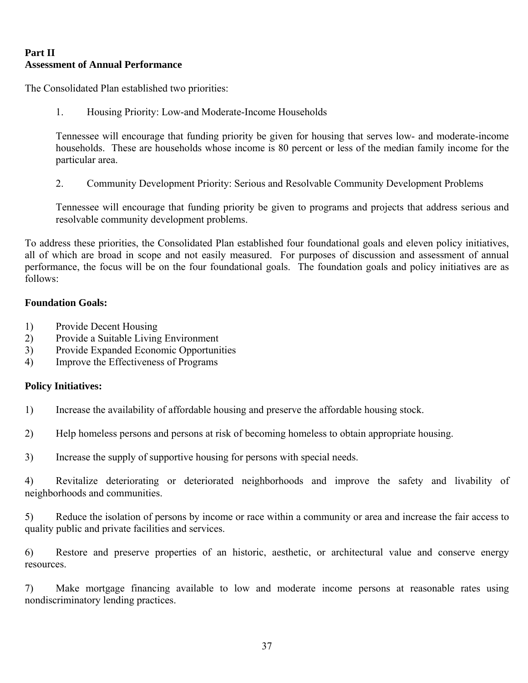# **Part II Assessment of Annual Performance**

The Consolidated Plan established two priorities:

1. Housing Priority: Low-and Moderate-Income Households

Tennessee will encourage that funding priority be given for housing that serves low- and moderate-income households. These are households whose income is 80 percent or less of the median family income for the particular area.

2. Community Development Priority: Serious and Resolvable Community Development Problems

Tennessee will encourage that funding priority be given to programs and projects that address serious and resolvable community development problems.

To address these priorities, the Consolidated Plan established four foundational goals and eleven policy initiatives, all of which are broad in scope and not easily measured. For purposes of discussion and assessment of annual performance, the focus will be on the four foundational goals. The foundation goals and policy initiatives are as follows:

#### **Foundation Goals:**

- 1) Provide Decent Housing
- 2) Provide a Suitable Living Environment
- 3) Provide Expanded Economic Opportunities
- 4) Improve the Effectiveness of Programs

#### **Policy Initiatives:**

- 1) Increase the availability of affordable housing and preserve the affordable housing stock.
- 2) Help homeless persons and persons at risk of becoming homeless to obtain appropriate housing.
- 3) Increase the supply of supportive housing for persons with special needs.

4) Revitalize deteriorating or deteriorated neighborhoods and improve the safety and livability of neighborhoods and communities.

5) Reduce the isolation of persons by income or race within a community or area and increase the fair access to quality public and private facilities and services.

6) Restore and preserve properties of an historic, aesthetic, or architectural value and conserve energy resources.

7) Make mortgage financing available to low and moderate income persons at reasonable rates using nondiscriminatory lending practices.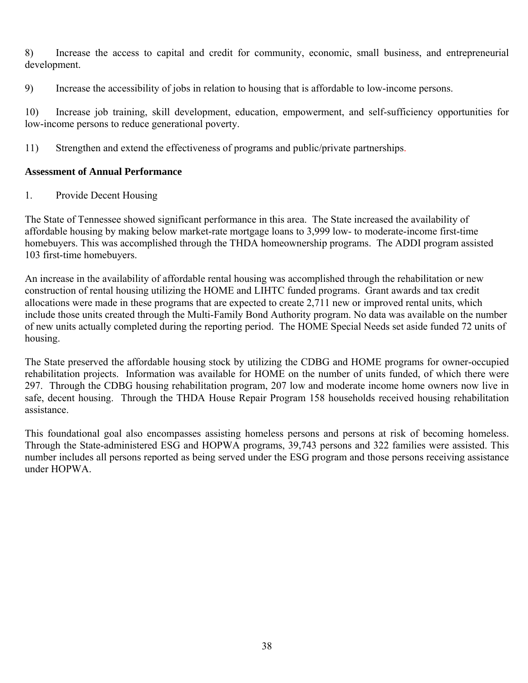8) Increase the access to capital and credit for community, economic, small business, and entrepreneurial development.

9) Increase the accessibility of jobs in relation to housing that is affordable to low-income persons.

10) Increase job training, skill development, education, empowerment, and self-sufficiency opportunities for low-income persons to reduce generational poverty.

11) Strengthen and extend the effectiveness of programs and public/private partnerships.

#### **Assessment of Annual Performance**

1. Provide Decent Housing

The State of Tennessee showed significant performance in this area. The State increased the availability of affordable housing by making below market-rate mortgage loans to 3,999 low- to moderate-income first-time homebuyers. This was accomplished through the THDA homeownership programs. The ADDI program assisted 103 first-time homebuyers.

An increase in the availability of affordable rental housing was accomplished through the rehabilitation or new construction of rental housing utilizing the HOME and LIHTC funded programs. Grant awards and tax credit allocations were made in these programs that are expected to create 2,711 new or improved rental units, which include those units created through the Multi-Family Bond Authority program. No data was available on the number of new units actually completed during the reporting period. The HOME Special Needs set aside funded 72 units of housing.

The State preserved the affordable housing stock by utilizing the CDBG and HOME programs for owner-occupied rehabilitation projects. Information was available for HOME on the number of units funded, of which there were 297. Through the CDBG housing rehabilitation program, 207 low and moderate income home owners now live in safe, decent housing. Through the THDA House Repair Program 158 households received housing rehabilitation assistance.

This foundational goal also encompasses assisting homeless persons and persons at risk of becoming homeless. Through the State-administered ESG and HOPWA programs, 39,743 persons and 322 families were assisted. This number includes all persons reported as being served under the ESG program and those persons receiving assistance under HOPWA.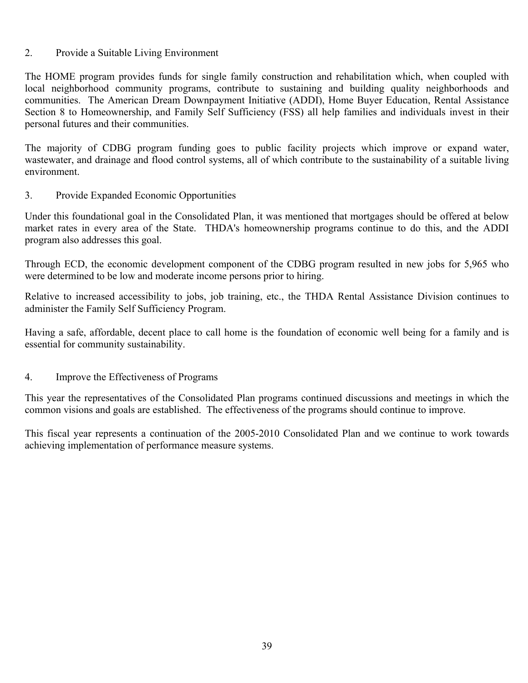#### 2. Provide a Suitable Living Environment

The HOME program provides funds for single family construction and rehabilitation which, when coupled with local neighborhood community programs, contribute to sustaining and building quality neighborhoods and communities. The American Dream Downpayment Initiative (ADDI), Home Buyer Education, Rental Assistance Section 8 to Homeownership, and Family Self Sufficiency (FSS) all help families and individuals invest in their personal futures and their communities.

The majority of CDBG program funding goes to public facility projects which improve or expand water, wastewater, and drainage and flood control systems, all of which contribute to the sustainability of a suitable living environment.

#### 3. Provide Expanded Economic Opportunities

Under this foundational goal in the Consolidated Plan, it was mentioned that mortgages should be offered at below market rates in every area of the State. THDA's homeownership programs continue to do this, and the ADDI program also addresses this goal.

Through ECD, the economic development component of the CDBG program resulted in new jobs for 5,965 who were determined to be low and moderate income persons prior to hiring.

Relative to increased accessibility to jobs, job training, etc., the THDA Rental Assistance Division continues to administer the Family Self Sufficiency Program.

Having a safe, affordable, decent place to call home is the foundation of economic well being for a family and is essential for community sustainability.

#### 4. Improve the Effectiveness of Programs

This year the representatives of the Consolidated Plan programs continued discussions and meetings in which the common visions and goals are established. The effectiveness of the programs should continue to improve.

This fiscal year represents a continuation of the 2005-2010 Consolidated Plan and we continue to work towards achieving implementation of performance measure systems.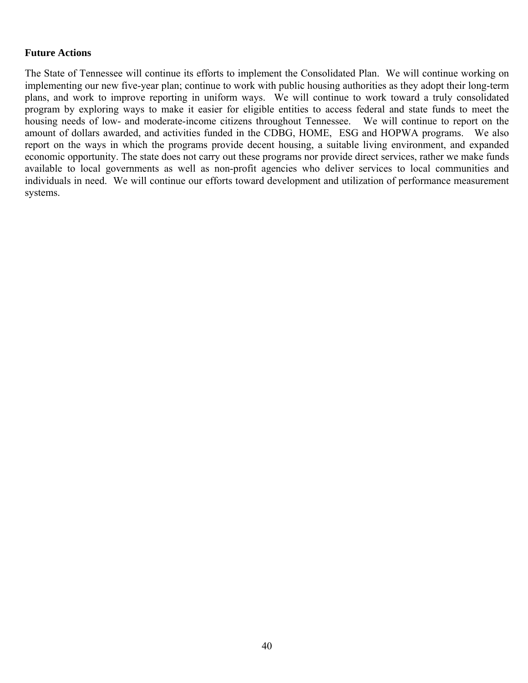#### **Future Actions**

The State of Tennessee will continue its efforts to implement the Consolidated Plan. We will continue working on implementing our new five-year plan; continue to work with public housing authorities as they adopt their long-term plans, and work to improve reporting in uniform ways. We will continue to work toward a truly consolidated program by exploring ways to make it easier for eligible entities to access federal and state funds to meet the housing needs of low- and moderate-income citizens throughout Tennessee. We will continue to report on the amount of dollars awarded, and activities funded in the CDBG, HOME, ESG and HOPWA programs. We also report on the ways in which the programs provide decent housing, a suitable living environment, and expanded economic opportunity. The state does not carry out these programs nor provide direct services, rather we make funds available to local governments as well as non-profit agencies who deliver services to local communities and individuals in need. We will continue our efforts toward development and utilization of performance measurement systems.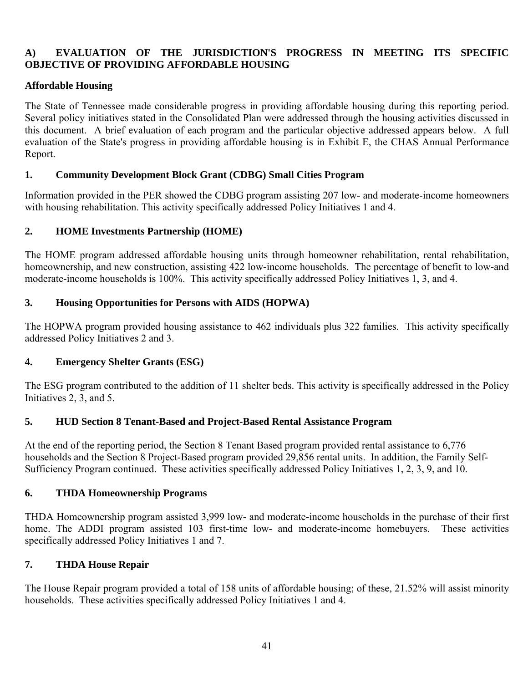# **A) EVALUATION OF THE JURISDICTION'S PROGRESS IN MEETING ITS SPECIFIC OBJECTIVE OF PROVIDING AFFORDABLE HOUSING**

#### **Affordable Housing**

The State of Tennessee made considerable progress in providing affordable housing during this reporting period. Several policy initiatives stated in the Consolidated Plan were addressed through the housing activities discussed in this document. A brief evaluation of each program and the particular objective addressed appears below. A full evaluation of the State's progress in providing affordable housing is in Exhibit E, the CHAS Annual Performance Report.

#### **1. Community Development Block Grant (CDBG) Small Cities Program**

Information provided in the PER showed the CDBG program assisting 207 low- and moderate-income homeowners with housing rehabilitation. This activity specifically addressed Policy Initiatives 1 and 4.

# **2. HOME Investments Partnership (HOME)**

The HOME program addressed affordable housing units through homeowner rehabilitation, rental rehabilitation, homeownership, and new construction, assisting 422 low-income households. The percentage of benefit to low-and moderate-income households is 100%. This activity specifically addressed Policy Initiatives 1, 3, and 4.

#### **3. Housing Opportunities for Persons with AIDS (HOPWA)**

The HOPWA program provided housing assistance to 462 individuals plus 322 families. This activity specifically addressed Policy Initiatives 2 and 3.

#### **4. Emergency Shelter Grants (ESG)**

The ESG program contributed to the addition of 11 shelter beds. This activity is specifically addressed in the Policy Initiatives 2, 3, and 5.

#### **5. HUD Section 8 Tenant-Based and Project-Based Rental Assistance Program**

At the end of the reporting period, the Section 8 Tenant Based program provided rental assistance to 6,776 households and the Section 8 Project-Based program provided 29,856 rental units. In addition, the Family Self-Sufficiency Program continued. These activities specifically addressed Policy Initiatives 1, 2, 3, 9, and 10.

#### **6. THDA Homeownership Programs**

THDA Homeownership program assisted 3,999 low- and moderate-income households in the purchase of their first home. The ADDI program assisted 103 first-time low- and moderate-income homebuyers. These activities specifically addressed Policy Initiatives 1 and 7.

# **7. THDA House Repair**

The House Repair program provided a total of 158 units of affordable housing; of these, 21.52% will assist minority households. These activities specifically addressed Policy Initiatives 1 and 4.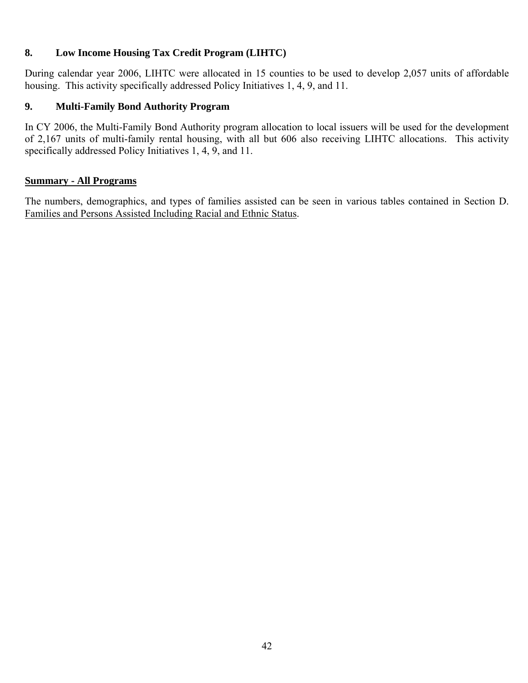# **8. Low Income Housing Tax Credit Program (LIHTC)**

During calendar year 2006, LIHTC were allocated in 15 counties to be used to develop 2,057 units of affordable housing. This activity specifically addressed Policy Initiatives 1, 4, 9, and 11.

# **9. Multi-Family Bond Authority Program**

In CY 2006, the Multi-Family Bond Authority program allocation to local issuers will be used for the development of 2,167 units of multi-family rental housing, with all but 606 also receiving LIHTC allocations. This activity specifically addressed Policy Initiatives 1, 4, 9, and 11.

#### **Summary - All Programs**

The numbers, demographics, and types of families assisted can be seen in various tables contained in Section D. Families and Persons Assisted Including Racial and Ethnic Status.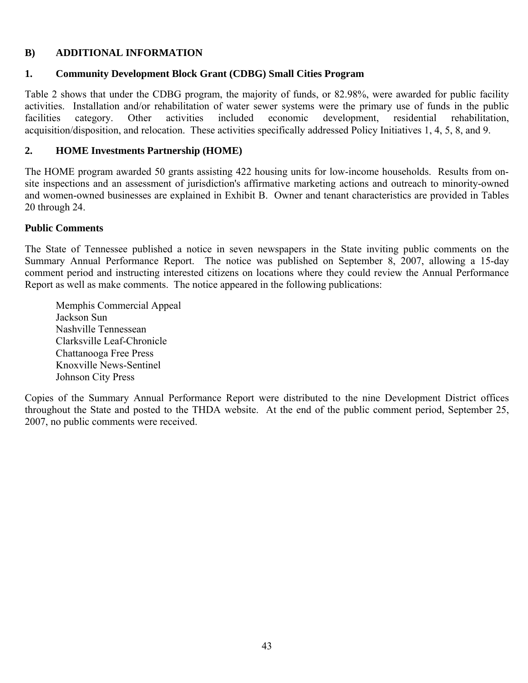# **B) ADDITIONAL INFORMATION**

#### **1. Community Development Block Grant (CDBG) Small Cities Program**

Table 2 shows that under the CDBG program, the majority of funds, or 82.98%, were awarded for public facility activities. Installation and/or rehabilitation of water sewer systems were the primary use of funds in the public facilities category. Other activities included economic development, residential rehabilitation, acquisition/disposition, and relocation. These activities specifically addressed Policy Initiatives 1, 4, 5, 8, and 9.

# **2. HOME Investments Partnership (HOME)**

The HOME program awarded 50 grants assisting 422 housing units for low-income households. Results from onsite inspections and an assessment of jurisdiction's affirmative marketing actions and outreach to minority-owned and women-owned businesses are explained in Exhibit B. Owner and tenant characteristics are provided in Tables 20 through 24.

#### **Public Comments**

The State of Tennessee published a notice in seven newspapers in the State inviting public comments on the Summary Annual Performance Report. The notice was published on September 8, 2007, allowing a 15-day comment period and instructing interested citizens on locations where they could review the Annual Performance Report as well as make comments. The notice appeared in the following publications:

Memphis Commercial Appeal Jackson Sun Nashville Tennessean Clarksville Leaf-Chronicle Chattanooga Free Press Knoxville News-Sentinel Johnson City Press

Copies of the Summary Annual Performance Report were distributed to the nine Development District offices throughout the State and posted to the THDA website. At the end of the public comment period, September 25, 2007, no public comments were received.